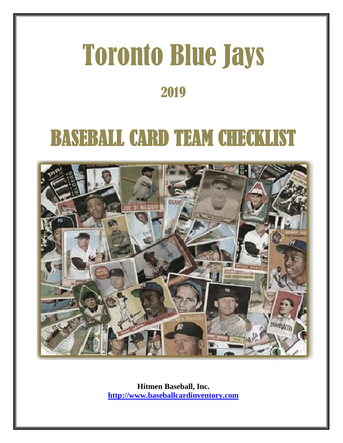# Toronto Blue Jays 2019

# BASEBALL CARD TEAM CHECKLIST



**Hitmen Baseball, Inc. [http://www.baseballcardinventory.com](http://www.baseballcardinventory.com/)**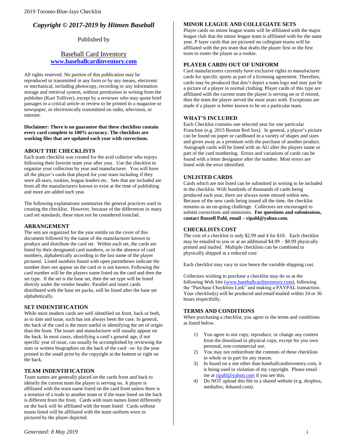# *Copyright © 2017-2019 by Hitmen Baseball*

## Published by

### Baseball Card Inventory **<www.baseballcardinventory.com>**

All rights reserved. No portion of this publication may be reproduced or transmitted in any form or by any means, electronic or mechanical, including photocopy, recording or any information storage and retrieval system, without permission in writing from the publisher (Kurt Tolliver), except by a reviewer who may quote brief passages in a critical article or review to be printed in a magazine or newspaper, or electronically transmitted on radio, television, or internet.

**Disclaimer: There is no guarantee that these checklists contain every card complete to 100% accuracy. The checklists are working files that are updated each year with corrections.** 

#### **ABOUT THE CHECKLISTS**

Each team checklist was created for the avid collector who enjoys following their favorite team year after year. Use the checklist to organize your collection by year and manufacturer. You will have all the player's cards that played for your team including if they were all-stars, rookies, league leaders etc. Sets that are included are from all the manufacturers known to exist at the time of publishing and more are added each year.

The following explanations summarize the general practices used in creating the checklist. However, because of the differences in many card set standards, these must not be considered ironclad.

#### **ARRANGEMENT**

The sets are organized for the year entitle on the cover of this document followed by the name of the manufacturer known to produce and distribute the card set. Within each set, the cards are listed by their designated card numbers, or in the absence of card numbers, alphabetically according to the last name of the player pictured. Listed numbers found with open parentheses indicate the number does not appear on the card or is not known. Following the card number will be the players name listed on the card and then the set type. If the set is the base set, then the set type will be listed directly under the vendor header. Parallel and insert cards distributed with the base set packs, will be listed after the base set alphabetically.

#### **SET INDENTIFICATION**

While most modern cards are well identified on front, back or both, as to date and issue, such has not always been the case. In general, the back of the card is the more useful in identifying the set of origin than the front. The issuer and manufacturer will usually appear on the back. In most cases, identifying a card's general age, if not specific year of issue, can usually be accomplished by reviewing the stats or written biographies on the back of the card –or- by the year printed in the small print by the copyright at the bottom or right on the back.

#### **TEAM INDENTIFICATION**

Team names are generally placed on the cards front and back to identify the current team the player is serving on. A player is affiliated with the team name listed on the card front unless there is a notation of a trade to another team or if the team listed on the back is different from the front. Cards with team names listed differently on the back will be affiliated with the team listed. Cards without teams listed will be affiliated with the team uniform worn or pictured by the player depicted.

#### **MINOR LEAGUE AND COLLEGIATE SETS**

Player cards on minor league teams will be affiliated with the major league club that the minor league team is affiliated with for the same year. P layer cards that are pictured on collegiate teams will be affiliated with the pro team that drafts the player first or the first team to roster the player as a rookie.

#### **PLAYER CARDS OUT OF UNIFORM**

Card manufacturers currently have exclusive rights to manufacturer cards for specific sports as part of a licensing agreement. Therefore, cards may be produced that don't depict a team logo and may just be a picture of a player in normal clothing. Player cards of this type are affiliated with the current team the player is serving on or if retired, then the team the player served the most years with. Exceptions are made if a player is better known to be on a particular team.

#### **WHAT'S INCLUDED**

Each Checklist contains one selected year for one particular Franchise (e.g. 2015 Boston Red Sox). In general, a player's picture can be found on paper or cardboard in a variety of shapes and sizes and given away as a premium with the purchase of another product. Autograph cards will be listed with an AU after the players name or part of the card numbering. Errors and variations of cards can be found with a letter designator after the number. Most errors are listed with the error identified.

#### **UNLISTED CARDS**

Cards which are not listed can be submitted in writing to be included in the checklist. With hundreds of thousands of cards being produced each year, there are always some missed within sets. Because of the new cards being issued all the time, the checklist remains as an on-going challenge. Collectors are encouraged to submit corrections and omissions. **For questions and submissions, contact Russell Pahl, email – ripahl@yahoo.com.**

#### **CHECKLISTS COST**

The cost of a checklist is only \$2.99 and 4 for \$10. Each checklist may be emailed to you or at an additional \$4.99 – \$8.99 physically printed and mailed. Multiple checklists can be combined to physically shipped at a reduced cost/

Each checklist may vary in size hence the variable shipping cost.

Collectors wishing to purchase a checklist may do so at the following Web Site [\(www.baseballcardinventory.com\)](http://www.baseballcardinventory.com/), following the "Purchase Checklists Link" and making a PAYPAL transaction. Your checklist(s) will be produced and email\mailed within 24 or 36 hours respectfully.

#### **TERMS AND CONDITIONS**

When purchasing a checklist, you agree to the terms and conditions as listed below.

- 1) You agree to not copy, reproduce, or change any content from the download or physical copy, except for you own personal, non-commercial use.
- 2) You may not redistribute the contents of these checklists in whole or in part for any reason.
- 3) In found on a site other than baseballcardinventory.com, it is being used in violation of my copyright. Please email me a[t ripahl@yahoo.com](mailto:ripahl@yahoo.com) if you see this.
- 4) Do NOT upload this file to a shared website (e.g. dropbox, mediafire, 4shared.com).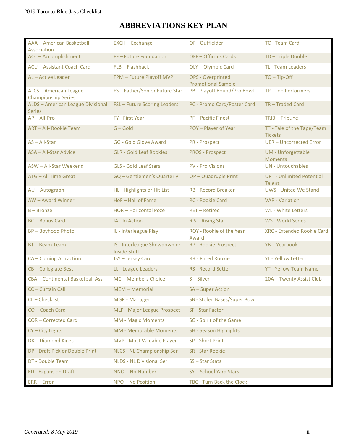# **ABBREVIATIONS KEY PLAN**

| AAA - American Basketball<br>Association                    | <b>EXCH - Exchange</b>                              | OF - Outfielder                                | TC - Team Card                                    |
|-------------------------------------------------------------|-----------------------------------------------------|------------------------------------------------|---------------------------------------------------|
| ACC - Accomplishment                                        | FF-Future Foundation                                | OFF - Officials Cards                          | TD-Triple Double                                  |
| <b>ACU - Assistant Coach Card</b>                           | FLB-Flashback                                       | OLY - Olympic Card                             | TL - Team Leaders                                 |
| AL-Active Leader                                            | FPM - Future Playoff MVP                            | OPS - Overprinted<br><b>Promotional Sample</b> | $TO - Tip-Off$                                    |
| <b>ALCS - American League</b><br><b>Championship Series</b> | FS-Father/Son or Future Star                        | PB - Playoff Bound/Pro Bowl                    | TP - Top Performers                               |
| <b>ALDS</b> - American League Divisional<br><b>Series</b>   | FSL - Future Scoring Leaders                        | PC - Promo Card/Poster Card                    | TR-Traded Card                                    |
| $AP - All-Pro$                                              | FY - First Year                                     | <b>PF-Pacific Finest</b>                       | TRIB - Tribune                                    |
| ART - All- Rookie Team                                      | $G - Gold$                                          | POY - Player of Year                           | TT - Tale of the Tape/Team<br><b>Tickets</b>      |
| AS-All-Star                                                 | <b>GG - Gold Glove Award</b>                        | <b>PR</b> - Prospect                           | <b>UER-Uncorrected Error</b>                      |
| <b>ASA - All-Star Advice</b>                                | <b>GLR - Gold Leaf Rookies</b>                      | <b>PROS - Prospect</b>                         | <b>UM</b> - Unforgettable<br><b>Moments</b>       |
| ASW - All-Star Weekend                                      | <b>GLS - Gold Leaf Stars</b>                        | <b>PV - Pro Visions</b>                        | <b>UN</b> - Untouchables                          |
| <b>ATG - All Time Great</b>                                 | GQ - Gentlemen's Quarterly                          | QP - Quadruple Print                           | <b>UPT - Unlimited Potential</b><br><b>Talent</b> |
| AU - Autograph                                              | HL - Highlights or Hit List                         | <b>RB - Record Breaker</b>                     | <b>UWS - United We Stand</b>                      |
| AW - Award Winner                                           | HoF-Hall of Fame                                    | RC - Rookie Card                               | <b>VAR - Variation</b>                            |
| $B -$ Bronze                                                | HOR-Horizontal Poze                                 | <b>RET-Retired</b>                             | WL - White Letters                                |
| <b>BC-Bonus Card</b>                                        | IA - In Action                                      | RiS-Rising Star                                | WS - World Series                                 |
| <b>BP-Boyhood Photo</b>                                     | IL - Interleague Play                               | ROY - Rookie of the Year<br>Award              | <b>XRC - Extended Rookie Card</b>                 |
| <b>BT-Beam Team</b>                                         | IS - Interleague Showdown or<br><b>Inside Stuff</b> | RP - Rookie Prospect                           | YB-Yearbook                                       |
| <b>CA</b> - Coming Attraction                               | JSY-Jersey Card                                     | <b>RR</b> - Rated Rookie                       | <b>YL</b> - Yellow Letters                        |
| CB-Collegiate Best                                          | LL - League Leaders                                 | RS - Record Setter                             | <b>YT - Yellow Team Name</b>                      |
| CBA - Continental Basketball Ass                            | MC - Members Choice                                 | $S - Silver$                                   | 20A - Twenty Assist Club                          |
| CC - Curtain Call                                           | MEM - Memorial                                      | SA-Super Action                                |                                                   |
| CL-Checklist                                                | MGR - Manager                                       | SB - Stolen Bases/Super Bowl                   |                                                   |
| CO - Coach Card                                             | MLP - Major League Prospect                         | <b>SF - Star Factor</b>                        |                                                   |
| <b>COR-Corrected Card</b>                                   | <b>MM - Magic Moments</b>                           | SG - Spirit of the Game                        |                                                   |
| CY-City Lights                                              | <b>MM - Memorable Moments</b>                       | <b>SH</b> - Season Highlights                  |                                                   |
| DK-Diamond Kings                                            | MVP - Most Valuable Player                          | SP - Short Print                               |                                                   |
| DP - Draft Pick or Double Print                             | NLCS - NL Championship Ser                          | <b>SR</b> - Star Rookie                        |                                                   |
| DT - Double Team                                            | <b>NLDS - NL Divisional Ser</b>                     | SS-Star Stats                                  |                                                   |
| <b>ED - Expansion Draft</b>                                 | NNO - No Number                                     | SY-School Yard Stars                           |                                                   |
| $ERR - Error$                                               | NPO - No Position                                   | TBC - Turn Back the Clock                      |                                                   |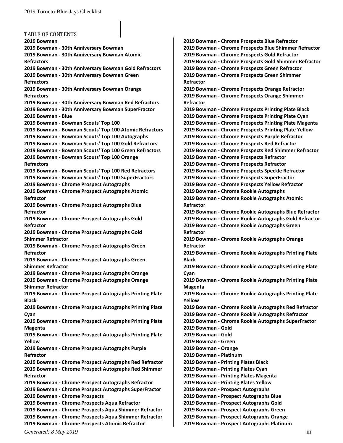TABLE OF CONTENTS **[2019 Bowman](#page-8-0) 2019 Bowman - [30th Anniversary Bowman](#page-8-1) 2019 Bowman - [30th Anniversary Bowman Atomic](#page-8-2)  [Refractors](#page-8-2) 2019 Bowman - [30th Anniversary Bowman Gold Refractors](#page-8-3) 2019 Bowman - [30th Anniversary Bowman Green](#page-8-4)  [Refractors](#page-8-4) 2019 Bowman - [30th Anniversary Bowman Orange](#page-8-5)  [Refractors](#page-8-5) 2019 Bowman - [30th Anniversary Bowman Red Refractors](#page-8-6) 2019 Bowman - [30th Anniversary Bowman SuperFractor](#page-8-7) [2019 Bowman -](#page-8-8) Blue 2019 Bowman - [Bowman Scouts' Top 100](#page-8-9) 2019 Bowman - [Bowman Scouts' Top 100 Atomic Refractors](#page-8-10) 2019 Bowman - [Bowman Scouts' Top 100 Autographs](#page-8-11) 2019 Bowman - [Bowman Scouts' Top 100 Gold Refractors](#page-8-12) 2019 Bowman - [Bowman Scouts' Top 100 Green](#page-8-13) Refractors 2019 Bowman - [Bowman Scouts' Top 100 Orange](#page-8-14)  [Refractors](#page-8-14) 2019 Bowman - [Bowman Scouts' Top 100 Red Refractors](#page-8-15) 2019 Bowman - [Bowman Scouts' Top 100 SuperFractors](#page-8-16) 2019 Bowman - [Chrome Prospect Autographs](#page-8-17) 2019 Bowman - [Chrome Prospect Autographs Atomic](#page-8-18)  [Refractor](#page-8-18) 2019 Bowman - [Chrome Prospect Autographs Blue](#page-8-19)  [Refractor](#page-8-19) 2019 Bowman - [Chrome Prospect Autographs Gold](#page-8-20)  [Refractor](#page-8-20) 2019 Bowman - [Chrome Prospect Autographs Gold](#page-8-21)  [Shimmer Refractor](#page-8-21) 2019 Bowman - [Chrome Prospect Autographs Green](#page-8-22)  [Refractor](#page-8-22) 2019 Bowman - [Chrome Prospect Autographs Green](#page-8-23)  [Shimmer Refractor](#page-8-23) 2019 Bowman - [Chrome Prospect Autographs Orange](#page-8-24) 2019 Bowman - [Chrome Prospect Autographs Orange](#page-8-25)  [Shimmer Refractor](#page-8-25) 2019 Bowman - [Chrome Prospect Autographs Printing Plate](#page-8-26)  [Black](#page-8-26) 2019 Bowman - [Chrome Prospect Autographs Printing Plate](#page-8-27)  [Cyan](#page-8-27) 2019 Bowman - [Chrome Prospect Autographs Printing Plate](#page-8-28)  [Magenta](#page-8-28) 2019 Bowman - [Chrome Prospect Autographs Printing Plate](#page-8-29)  [Yellow](#page-8-29) 2019 Bowman - [Chrome Prospect Autographs Purple](#page-8-30)  [Refractor](#page-8-30) 2019 Bowman - [Chrome Prospect Autographs Red Refractor](#page-8-31) 2019 Bowman - [Chrome Prospect Autographs Red Shimmer](#page-9-0)  [Refractor](#page-9-0) 2019 Bowman - [Chrome Prospect Autographs Refractor](#page-9-1) 2019 Bowman - [Chrome Prospect Autographs SuperFractor](#page-9-2) 2019 Bowman - [Chrome Prospects](#page-9-3) 2019 Bowman - [Chrome Prospects Aqua Refractor](#page-9-4) 2019 Bowman - [Chrome Prospects Aqua Shimmer Refractor](#page-9-5) 2019 Bowman - [Chrome Prospects Aqua Shimmer Refractor](#page-9-6) 2019 Bowman - [Chrome Prospects Atomic Refractor](#page-9-7)**

**2019 Bowman - [Chrome Prospects Blue Refractor](#page-9-8) 2019 Bowman - [Chrome Prospects Blue Shimmer Refractor](#page-9-9) 2019 Bowman - [Chrome Prospects Gold Refractor](#page-9-10) 2019 Bowman - [Chrome Prospects Gold Shimmer Refractor](#page-9-11) 2019 Bowman - [Chrome Prospects Green Refractor](#page-9-12) 2019 Bowman - [Chrome Prospects Green Shimmer](#page-9-13)  [Refractor](#page-9-13) 2019 Bowman - [Chrome Prospects Orange Refractor](#page-9-14) 2019 Bowman - [Chrome Prospects Orange Shimmer](#page-9-15)  [Refractor](#page-9-15) 2019 Bowman - [Chrome Prospects Printing Plate Black](#page-9-16) 2019 Bowman - [Chrome Prospects Printing Plate Cyan](#page-9-17) 2019 Bowman - [Chrome Prospects Printing Plate Magenta](#page-9-18) 2019 Bowman - [Chrome Prospects Printing Plate Yellow](#page-9-19) 2019 Bowman - [Chrome Prospects Purple Refractor](#page-9-20) 2019 Bowman - [Chrome Prospects Red Refractor](#page-9-21) 2019 Bowman - [Chrome Prospects Red Shimmer Refractor](#page-10-0) 2019 Bowman - [Chrome Prospects Refractor](#page-10-1) 2019 Bowman - [Chrome Prospects Refractor](#page-10-2) 2019 Bowman - [Chrome Prospects Speckle Refractor](#page-10-3) 2019 Bowman - [Chrome Prospects SuperFractor](#page-10-4) 2019 Bowman - [Chrome Prospects Yellow Refractor](#page-10-5) 2019 Bowman - [Chrome Rookie Autographs](#page-10-6) 2019 Bowman - [Chrome Rookie Autographs Atomic](#page-10-7)  [Refractor](#page-10-7) 2019 Bowman - [Chrome Rookie Autographs Blue Refractor](#page-10-8) 2019 Bowman - [Chrome Rookie Autographs Gold Refractor](#page-10-9) 2019 Bowman - [Chrome Rookie Autographs Green](#page-10-10)  [Refractor](#page-10-10) 2019 Bowman - [Chrome Rookie Autographs Orange](#page-10-11)  [Refractor](#page-10-11) 2019 Bowman - [Chrome Rookie Autographs Printing Plate](#page-10-12)  [Black](#page-10-12) 2019 Bowman - [Chrome Rookie Autographs Printing Plate](#page-10-13)  [Cyan](#page-10-13) 2019 Bowman - [Chrome Rookie Autographs Printing Plate](#page-10-14)  [Magenta](#page-10-14) 2019 Bowman - [Chrome Rookie Autographs Printing Plate](#page-10-15)  [Yellow](#page-10-15) 2019 Bowman - [Chrome Rookie Autographs Red Refractor](#page-10-16) 2019 Bowman - [Chrome Rookie Autographs Refractor](#page-10-17) 2019 Bowman - [Chrome Rookie Autographs SuperFractor](#page-10-18) [2019 Bowman -](#page-10-19) Gold [2019 Bowman -](#page-10-20) Gold [2019 Bowman -](#page-10-21) Green [2019 Bowman -](#page-10-22) Orange [2019 Bowman -](#page-10-23) Platinum 2019 Bowman - [Printing Plates Black](#page-10-24) 2019 Bowman - [Printing Plates Cyan](#page-10-25) 2019 Bowman - [Printing Plates Magenta](#page-10-26) 2019 Bowman - [Printing Plates Yellow](#page-10-27) 2019 Bowman - [Prospect Autographs](#page-11-0) 2019 Bowman - [Prospect Autographs Blue](#page-11-1) 2019 Bowman - [Prospect Autographs Gold](#page-11-2) 2019 Bowman - [Prospect Autographs Green](#page-11-3) 2019 Bowman - [Prospect Autographs Orange](#page-11-4) 2019 Bowman - [Prospect Autographs Platinum](#page-11-5)**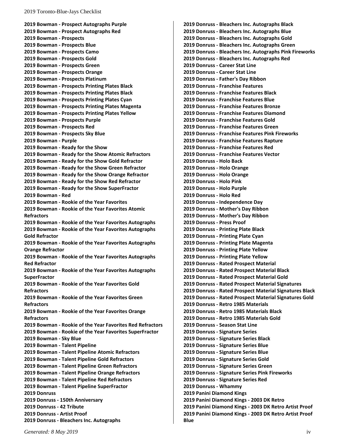**2019 Bowman - [Prospect Autographs Purple](#page-11-6) 2019 Bowman - [Prospect Autographs Red](#page-11-7) [2019 Bowman -](#page-11-8) Prospects [2019 Bowman -](#page-11-9) Prospects Blue 2019 Bowman - [Prospects Camo](#page-11-10) [2019 Bowman -](#page-11-11) Prospects Gold 2019 Bowman - [Prospects Green](#page-11-12) 2019 Bowman - [Prospects Orange](#page-11-13) 2019 Bowman - [Prospects Platinum](#page-11-14) 2019 Bowman - [Prospects Printing Plates Black](#page-11-15) 2019 Bowman - [Prospects Printing Plates Black](#page-11-16) 2019 Bowman - [Prospects Printing Plates Cyan](#page-11-17) 2019 Bowman - [Prospects Printing Plates Magenta](#page-11-18) 2019 Bowman - [Prospects Printing Plates Yellow](#page-11-19) 2019 Bowman - [Prospects Purple](#page-11-20) [2019 Bowman -](#page-11-21) Prospects Red 2019 Bowman - [Prospects Sky Blue](#page-11-22) [2019 Bowman -](#page-11-23) Purple 2019 Bowman - [Ready for the Show](#page-11-24) 2019 Bowman - [Ready for the Show Atomic Refractors](#page-11-25) 2019 Bowman - [Ready for the Show Gold Refractor](#page-11-26) 2019 Bowman - [Ready for the Show Green Refractor](#page-11-27) 2019 Bowman - [Ready for the Show Orange Refractor](#page-12-0) 2019 Bowman - [Ready for the Show Red Refractor](#page-12-1) 2019 Bowman - [Ready for the Show SuperFractor](#page-12-2) [2019 Bowman -](#page-12-3) Red 2019 Bowman - [Rookie of the Year Favorites](#page-12-4) 2019 Bowman - [Rookie of the Year Favorites Atomic](#page-12-5)  [Refractors](#page-12-5) 2019 Bowman - [Rookie of the Year Favorites Autographs](#page-12-6) 2019 Bowman - [Rookie of the Year Favorites Autographs](#page-12-7)  [Gold Refractor](#page-12-7) 2019 Bowman - [Rookie of the Year Favorites Autographs](#page-12-8)  [Orange Refractor](#page-12-8) 2019 Bowman - [Rookie of the Year Favorites Autographs](#page-12-9)  [Red Refractor](#page-12-9) 2019 Bowman - [Rookie of the Year Favorites Autographs](#page-12-10)  [SuperFractor](#page-12-10) 2019 Bowman - [Rookie of the Year Favorites Gold](#page-12-11)  [Refractors](#page-12-11) 2019 Bowman - [Rookie of the Year Favorites Green](#page-12-12)  [Refractors](#page-12-12) 2019 Bowman - [Rookie of the Year Favorites Orange](#page-12-13)  [Refractors](#page-12-13) 2019 Bowman - [Rookie of the Year Favorites Red Refractors](#page-12-14) 2019 Bowman - [Rookie of the Year Favorites SuperFractor](#page-12-15) [2019 Bowman -](#page-12-16) Sky Blue [2019 Bowman -](#page-12-17) Talent Pipeline 2019 Bowman - [Talent Pipeline Atomic Refractors](#page-12-18) 2019 Bowman - [Talent Pipeline Gold Refractors](#page-12-19) 2019 Bowman - [Talent Pipeline Green Refractors](#page-12-20) 2019 Bowman - [Talent Pipeline Orange Refractors](#page-12-21) 2019 Bowman - [Talent Pipeline Red Refractors](#page-12-22) 2019 Bowman - [Talent Pipeline SuperFractor](#page-12-23) [2019 Donruss](#page-12-24) 2019 Donruss - [150th Anniversary](#page-12-25) [2019 Donruss -](#page-12-26) 42 Tribute [2019 Donruss -](#page-12-27) Artist Proof 2019 Donruss - [Bleachers Inc. Autographs](#page-12-28)**

**2019 Donruss - [Bleachers Inc. Autographs Black](#page-13-0) 2019 Donruss - [Bleachers Inc. Autographs Blue](#page-13-1) 2019 Donruss - [Bleachers Inc. Autographs Gold](#page-13-2) 2019 Donruss - [Bleachers Inc. Autographs Green](#page-13-3) 2019 Donruss - [Bleachers Inc. Autographs Pink Fireworks](#page-13-4) 2019 Donruss - [Bleachers Inc. Autographs Red](#page-13-5) 2019 Donruss - [Career Stat Line](#page-13-6) 2019 Donruss - [Career Stat Line](#page-13-7) 2019 Donruss - [Father's Day Ribbon](#page-13-8) 2019 Donruss - [Franchise Features](#page-13-9) 2019 Donruss - [Franchise Features Black](#page-13-10) 2019 Donruss - [Franchise Features Blue](#page-13-11) 2019 Donruss - [Franchise Features Bronze](#page-13-12) 2019 Donruss - [Franchise Features Diamond](#page-13-13) 2019 Donruss - [Franchise Features Gold](#page-13-14) 2019 Donruss - [Franchise Features Green](#page-13-15) 2019 Donruss - [Franchise Features Pink Fireworks](#page-13-16) 2019 Donruss - [Franchise Features Rapture](#page-13-17) 2019 Donruss - [Franchise Features Red](#page-13-18) 2019 Donruss - [Franchise Features Vector](#page-13-19) [2019 Donruss -](#page-13-20) Holo Back [2019 Donruss -](#page-13-21) Holo Orange [2019 Donruss -](#page-13-22) Holo Orange [2019 Donruss -](#page-13-23) Holo Pink [2019 Donruss -](#page-13-24) Holo Purple [2019 Donruss -](#page-13-25) Holo Red 2019 Donruss - [Independence Day](#page-14-0) 2019 Donruss - [Mother's Day Ribbon](#page-14-1) 2019 Donruss - [Mother's Day Ribbon](#page-14-2) [2019 Donruss -](#page-14-3) Press Proof 2019 Donruss - [Printing Plate Black](#page-14-4) 2019 Donruss - [Printing Plate Cyan](#page-14-5) 2019 Donruss - [Printing Plate Magenta](#page-14-6) 2019 Donruss - [Printing Plate Yellow](#page-14-7) 2019 Donruss - [Printing Plate Yellow](#page-14-8) 2019 Donruss - [Rated Prospect Material](#page-14-9) 2019 Donruss - [Rated Prospect Material Black](#page-14-10) 2019 Donruss - [Rated Prospect Material Gold](#page-14-11) 2019 Donruss - [Rated Prospect Material Signatures](#page-14-12) 2019 Donruss - [Rated Prospect Material Signatures Black](#page-14-13) 2019 Donruss - [Rated Prospect Material Signatures Gold](#page-14-14) 2019 Donruss - [Retro 1985 Materials](#page-14-15) 2019 Donruss - [Retro 1985 Materials Black](#page-14-16) 2019 Donruss - [Retro 1985 Materials Gold](#page-14-17) 2019 Donruss - [Season Stat Line](#page-14-18) 2019 Donruss - [Signature Series](#page-14-19) 2019 Donruss - [Signature Series Black](#page-14-20) 2019 Donruss - [Signature Series Blue](#page-15-0) 2019 Donruss - [Signature Series Blue](#page-15-1) 2019 Donruss - [Signature Series Gold](#page-15-2) 2019 Donruss - [Signature Series Green](#page-15-3) 2019 Donruss - [Signature Series Pink Fireworks](#page-15-4) 2019 Donruss - [Signature Series Red](#page-15-5) [2019 Donruss -](#page-15-6) Whammy [2019 Panini Diamond Kings](#page-15-7) [2019 Panini Diamond Kings -](#page-15-8) 2003 DK Retro [2019 Panini Diamond Kings -](#page-15-9) 2003 DK Retro Artist Proof [2019 Panini Diamond Kings -](#page-15-10) 2003 DK Retro Artist Proof [Blue](#page-15-10)**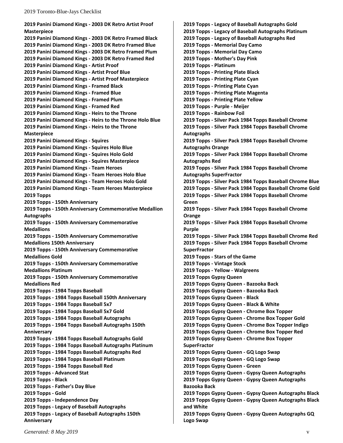**[2019 Panini Diamond Kings -](#page-15-11) 2003 DK Retro Artist Proof [Masterpiece](#page-15-11) [2019 Panini Diamond Kings -](#page-15-12) 2003 DK Retro Framed Black [2019 Panini Diamond Kings -](#page-15-13) 2003 DK Retro Framed Blue [2019 Panini Diamond Kings -](#page-15-14) 2003 DK Retro Framed Plum [2019 Panini Diamond Kings -](#page-15-15) 2003 DK Retro Framed Red [2019 Panini Diamond Kings -](#page-15-16) Artist Proof [2019 Panini Diamond Kings -](#page-15-17) Artist Proof Blue [2019 Panini Diamond Kings -](#page-15-18) Artist Proof Masterpiece [2019 Panini Diamond Kings -](#page-15-19) Framed Black [2019 Panini Diamond Kings -](#page-15-20) Framed Blue [2019 Panini Diamond Kings -](#page-15-21) Framed Plum [2019 Panini Diamond Kings -](#page-15-22) Framed Red [2019 Panini Diamond Kings -](#page-15-23) Heirs to the Throne 2019 Panini Diamond Kings - [Heirs to the Throne Holo Blue](#page-15-24) [2019 Panini Diamond Kings -](#page-15-25) Heirs to the Throne [Masterpiece](#page-15-25) [2019 Panini Diamond Kings -](#page-16-0) Squires [2019 Panini Diamond Kings -](#page-16-1) Squires Holo Blue [2019 Panini Diamond Kings -](#page-16-2) Squires Holo Gold [2019 Panini Diamond Kings -](#page-16-3) Squires Masterpiece [2019 Panini Diamond Kings -](#page-16-4) Team Heroes [2019 Panini Diamond Kings -](#page-16-5) Team Heroes Holo Blue [2019 Panini Diamond Kings -](#page-16-6) Team Heroes Holo Gold [2019 Panini Diamond Kings -](#page-16-7) Team Heroes Masterpiece [2019 Topps](#page-16-8) 2019 Topps - [150th Anniversary](#page-16-9) 2019 Topps - [150th Anniversary Commemorative Medallion](#page-16-10)  [Autographs](#page-16-10) 2019 Topps - [150th Anniversary Commemorative](#page-16-11)  [Medallions](#page-16-11) 2019 Topps - [150th Anniversary Commemorative](#page-16-12)  [Medallions 150th Anniversary](#page-16-12) 2019 Topps - [150th Anniversary Commemorative](#page-16-13)  [Medallions Gold](#page-16-13) 2019 Topps - [150th Anniversary Commemorative](#page-16-14)  [Medallions Platinum](#page-16-14) 2019 Topps - [150th Anniversary Commemorative](#page-16-15)  [Medallions Red](#page-16-15) 2019 Topps - [1984 Topps Baseball](#page-16-16) 2019 Topps - [1984 Topps Baseball 150th Anniversary](#page-16-17) 2019 Topps - [1984 Topps Baseball 5x7](#page-16-18) 2019 Topps - [1984 Topps Baseball 5x7 Gold](#page-16-19) 2019 Topps - [1984 Topps Baseball Autographs](#page-16-20) 2019 Topps - [1984 Topps Baseball Autographs 150th](#page-16-21)  [Anniversary](#page-16-21) 2019 Topps - [1984 Topps Baseball Autographs Gold](#page-16-22) 2019 Topps - [1984 Topps Baseball Autographs Platinum](#page-16-23) 2019 Topps - [1984 Topps Baseball Autographs Red](#page-16-24) 2019 Topps - [1984 Topps Baseball Platinum](#page-16-25) 2019 Topps - [1984 Topps Baseball Red](#page-16-26) 2019 Topps - [Advanced Stat](#page-16-27) [2019 Topps -](#page-16-28) Black 2019 Topps - [Father's Day Blue](#page-16-29) [2019 Topps -](#page-17-0) Gold 2019 Topps - [Independence Day](#page-17-1) 2019 Topps - [Legacy of Baseball Autographs](#page-17-2) 2019 Topps - [Legacy of Baseball Autographs 150th](#page-17-3)  [Anniversary](#page-17-3)**

**2019 Topps - [Legacy of Baseball Autographs Gold](#page-17-4) 2019 Topps - [Legacy of Baseball Autographs Platinum](#page-17-5) 2019 Topps - [Legacy of Baseball Autographs Red](#page-17-6) 2019 Topps - [Memorial Day Camo](#page-17-7) 2019 Topps - [Memorial Day Camo](#page-17-8) 2019 Topps - [Mother's Day Pink](#page-17-9) [2019 Topps -](#page-17-10) Platinum 2019 Topps - [Printing Plate Black](#page-17-11) 2019 Topps - [Printing Plate Cyan](#page-17-12) 2019 Topps - [Printing Plate Cyan](#page-17-13) 2019 Topps - [Printing Plate Magenta](#page-17-14) 2019 Topps - [Printing Plate Yellow](#page-17-15) [2019 Topps -](#page-18-0) Purple - Meijer 2019 Topps - [Rainbow Foil](#page-18-1) 2019 Topps - [Silver Pack 1984 Topps Baseball Chrome](#page-18-2) 2019 Topps - [Silver Pack 1984 Topps Baseball Chrome](#page-18-3)  [Autographs](#page-18-3) 2019 Topps - [Silver Pack 1984 Topps Baseball Chrome](#page-18-4)  [Autographs Orange](#page-18-4) 2019 Topps - [Silver Pack 1984 Topps Baseball Chrome](#page-18-5)  [Autographs Red](#page-18-5) 2019 Topps - [Silver Pack 1984 Topps Baseball Chrome](#page-18-6)  [Autographs SuperFractor](#page-18-6) 2019 Topps - [Silver Pack 1984 Topps Baseball Chrome Blue](#page-18-7) 2019 Topps - [Silver Pack 1984 Topps Baseball Chrome Gold](#page-18-8) 2019 Topps - [Silver Pack 1984 Topps Baseball Chrome](#page-18-9)  [Green](#page-18-9) 2019 Topps - [Silver Pack 1984 Topps Baseball Chrome](#page-18-10)  [Orange](#page-18-10) 2019 Topps - [Silver Pack 1984 Topps Baseball Chrome](#page-18-11)  [Purple](#page-18-11) 2019 Topps - [Silver Pack 1984 Topps Baseball Chrome Red](#page-18-12) 2019 Topps - [Silver Pack 1984 Topps Baseball Chrome](#page-18-13)  [SuperFractor](#page-18-13) 2019 Topps - [Stars of the Game](#page-18-14) 2019 Topps - [Vintage Stock](#page-18-15) [2019 Topps -](#page-18-16) Yellow - Walgreens [2019 Topps Gypsy Queen](#page-18-17) [2019 Topps Gypsy Queen -](#page-18-18) Bazooka Back [2019 Topps Gypsy Queen -](#page-18-19) Bazooka Back [2019 Topps Gypsy Queen](#page-18-20) - Black [2019 Topps Gypsy Queen -](#page-18-21) Black & White [2019 Topps Gypsy Queen -](#page-18-22) Chrome Box Topper [2019 Topps Gypsy Queen -](#page-18-23) Chrome Box Topper Gold 2019 Topps Gypsy Queen - [Chrome Box Topper Indigo](#page-18-24) [2019 Topps Gypsy Queen](#page-19-0) - Chrome Box Topper Red [2019 Topps Gypsy Queen -](#page-19-1) Chrome Box Topper [SuperFractor](#page-19-1) [2019 Topps Gypsy Queen -](#page-19-2) GQ Logo Swap [2019 Topps Gypsy Queen -](#page-19-3) GQ Logo Swap [2019 Topps Gypsy Queen -](#page-19-4) Green [2019 Topps Gypsy Queen -](#page-19-5) Gypsy Queen Autographs [2019 Topps Gypsy Queen -](#page-19-6) Gypsy Queen Autographs [Bazooka Back](#page-19-6) 2019 Topps Gypsy Queen - [Gypsy Queen Autographs Black](#page-19-7) 2019 Topps Gypsy Queen - [Gypsy Queen Autographs Black](#page-19-8)  [and White](#page-19-8) 2019 Topps Gypsy Queen - [Gypsy Queen Autographs GQ](#page-19-9)  [Logo Swap](#page-19-9)**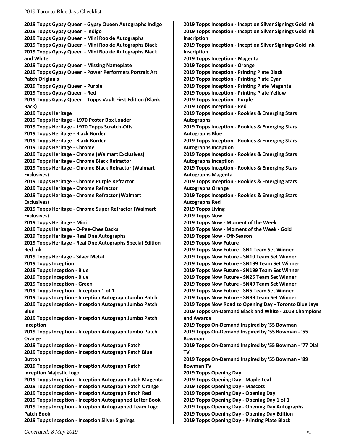**2019 Topps Gypsy Queen - [Gypsy Queen Autographs Indigo](#page-19-10) [2019 Topps Gypsy Queen -](#page-19-11) Indigo [2019 Topps Gypsy Queen -](#page-19-12) Mini Rookie Autographs 2019 Topps Gypsy Queen - [Mini Rookie Autographs Black](#page-19-13) 2019 Topps Gypsy Queen - [Mini Rookie Autographs Black](#page-19-14)  [and White](#page-19-14) [2019 Topps Gypsy Queen -](#page-19-15) Missing Nameplate 2019 Topps Gypsy Queen - [Power Performers Portrait Art](#page-19-16)  [Patch Originals](#page-19-16) [2019 Topps Gypsy Queen -](#page-19-17) Purple [2019 Topps Gypsy Queen -](#page-19-18) Red 2019 Topps Gypsy Queen - [Topps Vault First Edition \(Blank](#page-19-19)  [Back\)](#page-19-19) [2019 Topps Heritage](#page-19-20) 2019 Topps Heritage - [1970 Poster Box Loader](#page-19-21) 2019 Topps Heritage - [1970 Topps Scratch-Offs](#page-20-0) [2019 Topps Heritage -](#page-20-1) Black Border [2019 Topps Heritage -](#page-20-2) Black Border [2019 Topps Heritage -](#page-20-3) Chrome 2019 Topps Heritage - [Chrome \(Walmart Exclusives\)](#page-20-4) 2019 Topps Heritage - [Chrome Black Refractor](#page-20-5) 2019 Topps Heritage - [Chrome Black Refractor \(Walmart](#page-20-6)  [Exclusives\)](#page-20-6) 2019 Topps Heritage - [Chrome Purple Refractor](#page-20-7) [2019 Topps Heritage -](#page-20-8) Chrome Refractor 2019 Topps Heritage - [Chrome Refractor \(Walmart](#page-20-9)  [Exclusives\)](#page-20-9) 2019 Topps Heritage - [Chrome Super Refractor \(Walmart](#page-20-10)  [Exclusives\)](#page-20-10) [2019 Topps Heritage -](#page-20-11) Mini [2019 Topps Heritage -](#page-20-12) O-Pee-Chee Backs [2019 Topps Heritage -](#page-20-13) Real One Autographs 2019 Topps Heritage - [Real One Autographs Special Edition](#page-20-14)  [Red Ink](#page-20-14) [2019 Topps Heritage -](#page-20-15) Silver Metal [2019 Topps Inception](#page-20-16) [2019 Topps Inception -](#page-20-17) Blue [2019 Topps Inception -](#page-20-18) Blue [2019 Topps Inception -](#page-20-19) Green 2019 [Topps Inception -](#page-20-20) Inception 1 of 1 2019 Topps Inception - [Inception Autograph Jumbo Patch](#page-20-21) 2019 Topps Inception - [Inception Autograph Jumbo Patch](#page-20-22)  [Blue](#page-20-22) 2019 Topps Inception - [Inception Autograph Jumbo Patch](#page-20-23)  [Inception](#page-20-23) 2019 Topps Inception - [Inception Autograph Jumbo Patch](#page-20-24)  [Orange](#page-20-24) 2019 Topps Inception - [Inception Autograph Patch](#page-20-25) 2019 Topps Inception - [Inception Autograph Patch Blue](#page-20-26)  [Button](#page-20-26) 2019 Topps Inception - [Inception Autograph Patch](#page-20-27)  [Inception Majestic Logo](#page-20-27) 2019 Topps Inception - [Inception Autograph Patch Magenta](#page-20-28) 2019 Topps Inception - [Inception Autograph Patch Orange](#page-21-0) 2019 Topps Inception - [Inception Autograph Patch Red](#page-21-1) 2019 Topps Inception - [Inception Autographed Letter Book](#page-21-2) 2019 Topps Inception - [Inception Autographed Team Logo](#page-21-3)  [Patch Book](#page-21-3) 2019 Topps Inception - [Inception Silver Signings](#page-21-4)**

**2019 Topps Inception - [Inception Silver Signings Gold Ink](#page-21-5) 2019 Topps Inception - [Inception Silver Signings Gold Ink](#page-21-6)  [Inscription](#page-21-6) 2019 Topps Inception - [Inception Silver Signings Gold Ink](#page-21-7)  [Inscription](#page-21-7) [2019 Topps Inception -](#page-21-8) Magenta [2019 Topps Inception -](#page-21-9) Orange [2019 Topps Inception -](#page-21-10) Printing Plate Black [2019 Topps Inception -](#page-21-11) Printing Plate Cyan 2019 Topps Inception - [Printing Plate Magenta](#page-21-12) [2019 Topps Inception -](#page-21-13) Printing Plate Yellow [2019 Topps Inception -](#page-21-14) Purple [2019 Topps Inception -](#page-21-15) Red 2019 Topps Inception - [Rookies & Emerging Stars](#page-21-16)  [Autographs](#page-21-16) 2019 Topps Inception - [Rookies & Emerging Stars](#page-21-17)  [Autographs Blue](#page-21-17) 2019 Topps Inception - [Rookies & Emerging Stars](#page-21-18)  [Autographs Inception](#page-21-18) 2019 Topps Inception - [Rookies & Emerging Stars](#page-21-19)  [Autographs Inception](#page-21-19) 2019 Topps Inception - [Rookies & Emerging Stars](#page-21-20)  [Autographs Magenta](#page-21-20) 2019 Topps Inception - [Rookies & Emerging Stars](#page-21-21)  [Autographs Orange](#page-21-21) 2019 Topps Inception - [Rookies & Emerging Stars](#page-21-22)  [Autographs Red](#page-21-22) [2019 Topps Living](#page-21-23) [2019 Topps Now](#page-21-24) 2019 Topps Now - [Moment of the Week](#page-22-0) 2019 Topps Now - [Moment of the Week -](#page-22-1) Gold [2019 Topps Now -](#page-22-2) Off-Season [2019 Topps Now Future](#page-22-3) [2019 Topps Now Future -](#page-22-4) SN1 Team Set Winner [2019 Topps Now Future -](#page-22-5) SN10 Team Set Winner [2019 Topps Now Future -](#page-22-6) SN199 Team Set Winner [2019 Topps Now Future -](#page-22-7) SN199 Team Set Winner [2019 Topps Now Future -](#page-22-8) SN25 Team Set Winner [2019 Topps Now Future -](#page-22-9) SN49 Team Set Winner [2019 Topps Now Future -](#page-22-10) SN5 Team Set Winner [2019 Topps Now Future -](#page-22-11) SN99 Team Set Winner [2019 Topps Now Road to Opening Day -](#page-22-12) Toronto Blue Jays [2019 Topps On-Demand](#page-22-13) Black and White - 2018 Champions [and Awards](#page-22-13) [2019 Topps On-Demand Inspired by '55 Bowman](#page-22-14) [2019 Topps On-Demand Inspired by '55 Bowman -](#page-22-15) '55 [Bowman](#page-22-15) [2019 Topps On-Demand Inspired by '55 Bowman -](#page-22-16) '77 Dial [TV](#page-22-16) [2019 Topps On-Demand Inspired by '55 Bowman -](#page-22-17) '89 [Bowman TV](#page-22-17) [2019 Topps Opening Day](#page-22-18) [2019 Topps Opening Day](#page-22-19) - Maple Leaf [2019 Topps Opening](#page-22-20) Day - Mascots [2019 Topps Opening Day -](#page-22-21) Opening Day [2019 Topps Opening](#page-22-22) Day - Opening Day 1 of 1 [2019 Topps Opening Day -](#page-22-23) Opening Day Autographs [2019 Topps Opening Day -](#page-22-24) Opening Day Edition [2019 Topps Opening Day -](#page-22-25) Printing Plate Black**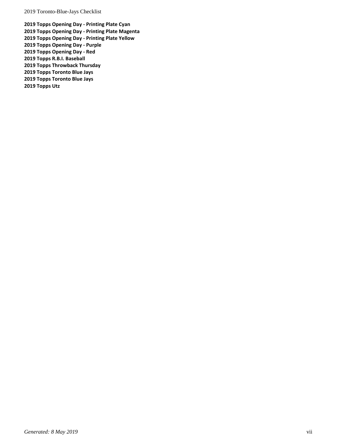**[2019 Topps Opening Day -](#page-23-0) Printing Plate Cyan [2019 Topps Opening Day -](#page-23-1) Printing Plate Magenta [2019 Topps Opening Day -](#page-23-2) Printing Plate Yellow [2019 Topps Opening Day -](#page-23-3) Purple [2019 Topps Opening Day -](#page-23-4) Red [2019 Topps R.B.I. Baseball](#page-23-5) [2019 Topps Throwback Thursday](#page-23-6) [2019 Topps Toronto Blue Jays](#page-23-7) [2019 Topps Toronto Blue Jays](#page-23-8) [2019 Topps Utz](#page-23-9)**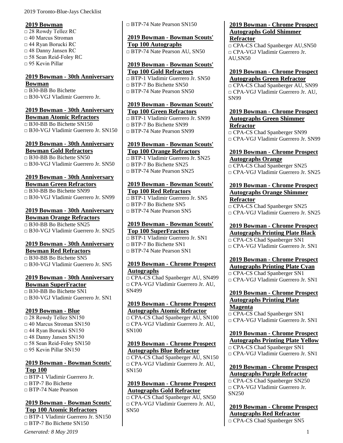#### <span id="page-8-0"></span>**2019 Bowman**

□ 28 Rowdy Tellez RC □ 40 Marcus Stroman □ 44 Ryan Borucki RC □ 48 Danny Jansen RC □ 58 Sean Reid-Foley RC  $\Box$  95 Kevin Pillar

# <span id="page-8-1"></span>**2019 Bowman - 30th Anniversary Bowman**

□ B30-BB Bo Bichette □ B30-VGJ Vladimir Guerrero Jr.

#### <span id="page-8-2"></span>**2019 Bowman - 30th Anniversary Bowman Atomic Refractors**

□ B30-BB Bo Bichette SN150 □ B30-VGJ Vladimir Guerrero Jr. SN150

#### <span id="page-8-3"></span>**2019 Bowman - 30th Anniversary Bowman Gold Refractors**

□ B30-BB Bo Bichette SN50 □ B30-VGJ Vladimir Guerrero Jr. SN50

# <span id="page-8-4"></span>**2019 Bowman - 30th Anniversary**

**Bowman Green Refractors** □ B30-BB Bo Bichette SN99 □ B30-VGJ Vladimir Guerrero Jr. SN99

#### <span id="page-8-5"></span>**2019 Bowman - 30th Anniversary Bowman Orange Refractors**

 $\Box$  B<sub>30</sub>-B<sub>B</sub> B<sub>0</sub> Bichette SN<sub>25</sub> □ B30-VGJ Vladimir Guerrero Jr. SN25

# <span id="page-8-6"></span>**2019 Bowman - 30th Anniversary Bowman Red Refractors**

□ B30-BB Bo Bichette SN5 □ B30-VGJ Vladimir Guerrero Jr. SN5

# <span id="page-8-7"></span>**2019 Bowman - 30th Anniversary**

**Bowman SuperFractor**  $\Box$  B<sub>30</sub>-B<sub>B</sub> B<sub>o</sub> Bichette SN<sub>1</sub> □ B30-VGJ Vladimir Guerrero Jr. SN1

# <span id="page-8-8"></span>**2019 Bowman - Blue**

□ 28 Rowdy Tellez SN150 □ 40 Marcus Stroman SN150 □ 44 Ryan Borucki SN150 □ 48 Danny Jansen SN150 □ 58 Sean Reid-Foley SN150  $\Box$  95 Kevin Pillar SN150

# <span id="page-8-9"></span>**2019 Bowman - Bowman Scouts' Top 100**

□ BTP-1 Vladimir Guerrero Jr. □ BTP-7 Bo Bichette □ BTP-74 Nate Pearson

#### <span id="page-8-10"></span>**2019 Bowman - Bowman Scouts' Top 100 Atomic Refractors**

 $\Box$  BTP-1 Vladimir Guerrero Jr. SN150 □ BTP-7 Bo Bichette SN150

□ BTP-74 Nate Pearson SN150

# <span id="page-8-11"></span>**2019 Bowman - Bowman Scouts' Top 100 Autographs**

□ BTP-74 Nate Pearson AU, SN50

#### <span id="page-8-12"></span>**2019 Bowman - Bowman Scouts' Top 100 Gold Refractors**

□ BTP-1 Vladimir Guerrero Jr. SN50  $\n **BTP-7**$  Bo Bichette SN50 □ BTP-74 Nate Pearson SN50

#### <span id="page-8-13"></span>**2019 Bowman - Bowman Scouts' Top 100 Green Refractors**

□ BTP-1 Vladimir Guerrero Jr. SN99 □ BTP-7 Bo Bichette SN99 □ BTP-74 Nate Pearson SN99

#### <span id="page-8-14"></span>**2019 Bowman - Bowman Scouts' Top 100 Orange Refractors**

□ BTP-1 Vladimir Guerrero Jr. SN25  $\Box$  BTP-7 Bo Bichette SN25 □ BTP-74 Nate Pearson SN25

#### <span id="page-8-15"></span>**2019 Bowman - Bowman Scouts' Top 100 Red Refractors**

□ BTP-1 Vladimir Guerrero Jr. SN5 □ BTP-7 Bo Bichette SN5 □ BTP-74 Nate Pearson SN5

# <span id="page-8-16"></span>**2019 Bowman - Bowman Scouts' Top 100 SuperFractors**

□ BTP-1 Vladimir Guerrero Jr. SN1  $\neg$  BTP-7 Bo Bichette SN1 □ BTP-74 Nate Pearson SN1

#### <span id="page-8-17"></span>**2019 Bowman - Chrome Prospect Autographs**

□ CPA-CS Chad Spanberger AU, SN499 □ CPA-VGJ Vladimir Guerrero Jr. AU, SN499

#### <span id="page-8-18"></span>**2019 Bowman - Chrome Prospect Autographs Atomic Refractor**

□ CPA-CS Chad Spanberger AU, SN100 □ CPA-VGJ Vladimir Guerrero Jr. AU, SN100

#### <span id="page-8-19"></span>**2019 Bowman - Chrome Prospect Autographs Blue Refractor**

□ CPA-CS Chad Spanberger AU, SN150 □ CPA-VGJ Vladimir Guerrero Jr. AU, SN150

# <span id="page-8-20"></span>**2019 Bowman - Chrome Prospect Autographs Gold Refractor**

□ CPA-CS Chad Spanberger AU, SN50 □ CPA-VGJ Vladimir Guerrero Jr. AU, SN50

#### <span id="page-8-21"></span>**2019 Bowman - Chrome Prospect Autographs Gold Shimmer Refractor**

□ CPA-CS Chad Spanberger AU,SN50 □ CPA-VGJ Vladimir Guerrero Jr. AU,SN50

#### <span id="page-8-22"></span>**2019 Bowman - Chrome Prospect Autographs Green Refractor**

□ CPA-CS Chad Spanberger AU, SN99 □ CPA-VGJ Vladimir Guerrero Jr. AU, SN99

## <span id="page-8-23"></span>**2019 Bowman - Chrome Prospect Autographs Green Shimmer Refractor**

□ CPA-CS Chad Spanberger SN99 □ CPA-VGJ Vladimir Guerrero Jr. SN99

#### <span id="page-8-24"></span>**2019 Bowman - Chrome Prospect Autographs Orange**

□ CPA-CS Chad Spanberger SN25 □ CPA-VGJ Vladimir Guerrero Jr. SN25

# <span id="page-8-25"></span>**2019 Bowman - Chrome Prospect Autographs Orange Shimmer Refractor**

□ CPA-CS Chad Spanberger SN25 □ CPA-VGJ Vladimir Guerrero Jr. SN25

# <span id="page-8-26"></span>**2019 Bowman - Chrome Prospect Autographs Printing Plate Black**

□ CPA-CS Chad Spanberger SN1 □ CPA-VGJ Vladimir Guerrero Jr. SN1

# <span id="page-8-27"></span>**2019 Bowman - Chrome Prospect Autographs Printing Plate Cyan**

□ CPA-CS Chad Spanberger SN1 □ CPA-VGJ Vladimir Guerrero Jr. SN1

#### <span id="page-8-28"></span>**2019 Bowman - Chrome Prospect Autographs Printing Plate Magenta**

□ CPA-CS Chad Spanberger SN1 □ CPA-VGJ Vladimir Guerrero Jr. SN1

<span id="page-8-29"></span>**2019 Bowman - Chrome Prospect Autographs Printing Plate Yellow** □ CPA-CS Chad Spanberger SN1 □ CPA-VGI Vladimir Guerrero Ir. SN1

# <span id="page-8-30"></span>**2019 Bowman - Chrome Prospect Autographs Purple Refractor**

□ CPA-CS Chad Spanberger SN250 □ CPA-VGJ Vladimir Guerrero Jr. SN250

<span id="page-8-31"></span>**2019 Bowman - Chrome Prospect Autographs Red Refractor** □ CPA-CS Chad Spanberger SN5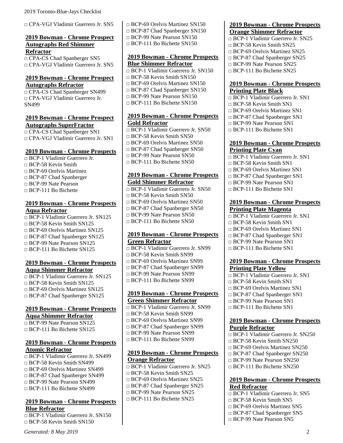□ CPA-VGJ Vladimir Guerrero Jr. SN5

#### <span id="page-9-0"></span>**2019 Bowman - Chrome Prospect Autographs Red Shimmer Refractor**

□ CPA-CS Chad Spanberger SN5 □ CPA-VGJ Vladimir Guerrero Jr. SN5

#### <span id="page-9-1"></span>**2019 Bowman - Chrome Prospect Autographs Refractor**

□ CPA-CS Chad Spanberger SN499 □ CPA-VGJ Vladimir Guerrero Jr. SN499

#### <span id="page-9-2"></span>**2019 Bowman - Chrome Prospect Autographs SuperFractor**

□ CPA-CS Chad Spanberger SN1 □ CPA-VGJ Vladimir Guerrero Jr. SN1

#### <span id="page-9-3"></span>**2019 Bowman - Chrome Prospects**

□ BCP-1 Vladimir Guerrero Jr.  $\Box$  BCP-58 Kevin Smith □ BCP-69 Orelvis Martinez □ BCP-87 Chad Spanberger □ BCP-99 Nate Pearson □ BCP-111 Bo Bichette

## <span id="page-9-4"></span>**2019 Bowman - Chrome Prospects Aqua Refractor**

□ BCP-1 Vladimir Guerrero Jr. SN125 □ BCP-58 Kevin Smith SN125 □ BCP-69 Orelvis Martinez SN125 □ BCP-87 Chad Spanberger SN125 □ BCP-99 Nate Pearson SN125 □ BCP-111 Bo Bichette SN125

#### <span id="page-9-5"></span>**2019 Bowman - Chrome Prospects Aqua Shimmer Refractor**

□ BCP-1 Vladimir Guerrero Jr. SN125 □ BCP-58 Kevin Smith SN125 □ BCP-69 Orelvis Martinez SN125 □ BCP-87 Chad Spanberger SN125

# <span id="page-9-6"></span>**2019 Bowman - Chrome Prospects Aqua Shimmer Refractor**

□ BCP-99 Nate Pearson SN125 □ BCP-111 Bo Bichette SN125

#### <span id="page-9-7"></span>**2019 Bowman - Chrome Prospects Atomic Refractor**

□ BCP-1 Vladimir Guerrero Jr. SN499 □ BCP-58 Kevin Smith SN499 □ BCP-69 Orelvis Martinez SN499 □ BCP-87 Chad Spanberger SN499 □ BCP-99 Nate Pearson SN499 □ BCP-111 Bo Bichette SN499

### <span id="page-9-8"></span>**2019 Bowman - Chrome Prospects Blue Refractor**

□ BCP-1 Vladimir Guerrero Jr. SN150 □ BCP-58 Kevin Smith SN150

□ BCP-69 Orelvis Martinez SN150 □ BCP-87 Chad Spanberger SN150 □ BCP-99 Nate Pearson SN150 □ BCP-111 Bo Bichette SN150

#### <span id="page-9-9"></span>**2019 Bowman - Chrome Prospects Blue Shimmer Refractor**

- □ BCP-1 Vladimir Guerrero Jr. SN150  $\Box$  BCP-58 Kevin Smith SN150
- □ BCP-69 Orelvis Martinez SN150
- □ BCP-87 Chad Spanberger SN150
- □ BCP-99 Nate Pearson SN150
- $\Box$  BCP-111 Bo Bichette SN150

## <span id="page-9-10"></span>**2019 Bowman - Chrome Prospects Gold Refractor**

□ BCP-1 Vladimir Guerrero Jr. SN50  $\Box$  BCP-58 Kevin Smith SN50 □ BCP-69 Orelvis Martinez SN50 □ BCP-87 Chad Spanberger SN50 □ BCP-99 Nate Pearson SN50  $\Box$  BCP-111 Bo Bichette SN50

## <span id="page-9-11"></span>**2019 Bowman - Chrome Prospects Gold Shimmer Refractor**

□ BCP-1 Vladimir Guerrero Jr. SN50  $\neg$  BCP-58 Kevin Smith SN50 □ BCP-69 Orelvis Martinez SN50 □ BCP-87 Chad Spanberger SN50 □ BCP-99 Nate Pearson SN50 □ BCP-111 Bo Bichette SN50

### <span id="page-9-12"></span>**2019 Bowman - Chrome Prospects Green Refractor**

- □ BCP-1 Vladimir Guerrero Jr. SN99 □ BCP-58 Kevin Smith SN99 □ BCP-69 Orelvis Martinez SN99
- □ BCP-87 Chad Spanberger SN99
- □ BCP-99 Nate Pearson SN99
- □ BCP-111 Bo Bichette SN99

#### <span id="page-9-13"></span>**2019 Bowman - Chrome Prospects Green Shimmer Refractor**

- □ BCP-1 Vladimir Guerrero Jr. SN99
- □ BCP-58 Kevin Smith SN99
- □ BCP-69 Orelvis Martinez SN99
- □ BCP-87 Chad Spanberger SN99
- □ BCP-99 Nate Pearson SN99
- □ BCP-111 Bo Bichette SN99

### <span id="page-9-14"></span>**2019 Bowman - Chrome Prospects Orange Refractor**

- □ BCP-1 Vladimir Guerrero Jr. SN25
- $\neg$  BCP-58 Kevin Smith SN25
- □ BCP-69 Orelvis Martinez SN25
- □ BCP-87 Chad Spanberger SN25
- □ BCP-99 Nate Pearson SN25 □ BCP-111 Bo Bichette SN25

#### <span id="page-9-15"></span>**2019 Bowman - Chrome Prospects Orange Shimmer Refractor**

- □ BCP-1 Vladimir Guerrero Jr. SN25
- $\n **BCP-58**$  Kevin Smith SN25
- □ BCP-69 Orelvis Martinez SN25 □ BCP-87 Chad Spanberger SN25
- □ BCP-99 Nate Pearson SN25
- □ BCP-111 Bo Bichette SN25

#### <span id="page-9-16"></span>**2019 Bowman - Chrome Prospects Printing Plate Black**

- □ BCP-1 Vladimir Guerrero Jr. SN1
- □ BCP-58 Kevin Smith SN1
- □ BCP-69 Orelvis Martinez SN1
- □ BCP-87 Chad Spanberger SN1
- □ BCP-99 Nate Pearson SN1
- □ BCP-111 Bo Bichette SN1

#### <span id="page-9-17"></span>**2019 Bowman - Chrome Prospects Printing Plate Cyan**

- □ BCP-1 Vladimir Guerrero Jr. SN1
- □ BCP-58 Kevin Smith SN1
- □ BCP-69 Orelvis Martinez SN1
- □ BCP-87 Chad Spanberger SN1
- □ BCP-99 Nate Pearson SN1
- $\Box$  BCP-111 Bo Bichette SN1

#### <span id="page-9-18"></span>**2019 Bowman - Chrome Prospects Printing Plate Magenta**

- □ BCP-1 Vladimir Guerrero Jr. SN1
- □ BCP-58 Kevin Smith SN1
- □ BCP-69 Orelvis Martinez SN1
- □ BCP-87 Chad Spanberger SN1
- □ BCP-99 Nate Pearson SN1
- $\Box$  BCP-111 Bo Bichette SN1

#### <span id="page-9-19"></span>**2019 Bowman - Chrome Prospects Printing Plate Yellow**

- □ BCP-1 Vladimir Guerrero Jr. SN1
- □ BCP-58 Kevin Smith SN1
- □ BCP-69 Orelvis Martinez SN1
- □ BCP-87 Chad Spanberger SN1
- □ BCP-99 Nate Pearson SN1
- □ BCP-111 Bo Bichette SN1

#### <span id="page-9-20"></span>**2019 Bowman - Chrome Prospects Purple Refractor**

- □ BCP-1 Vladimir Guerrero Jr. SN250
- $\Box$  BCP-58 Kevin Smith SN250
- □ BCP-69 Orelvis Martinez SN250
- □ BCP-87 Chad Spanberger SN250
- □ BCP-99 Nate Pearson SN250
- □ BCP-111 Bo Bichette SN250

### <span id="page-9-21"></span>**2019 Bowman - Chrome Prospects Red Refractor**

- □ BCP-1 Vladimir Guerrero Jr. SN5
- $\Box$  BCP-58 Kevin Smith SN5
- □ BCP-69 Orelvis Martinez SN5
- □ BCP-87 Chad Spanberger SN5
- □ BCP-99 Nate Pearson SN5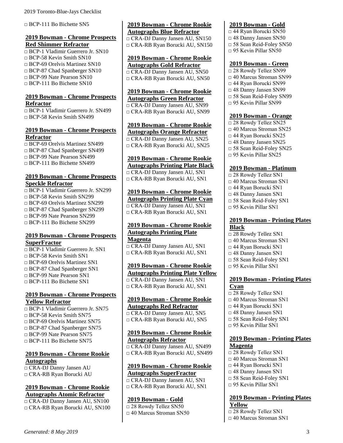□ BCP-111 Bo Bichette SN5

#### <span id="page-10-0"></span>**2019 Bowman - Chrome Prospects Red Shimmer Refractor**

□ BCP-1 Vladimir Guerrero Jr. SN10  $\Box$  BCP-58 Kevin Smith SN10  $\Box$  BCP-69 Orelvis Martinez SN10 □ BCP-87 Chad Spanberger SN10 □ BCP-99 Nate Pearson SN10  $\Box$  BCP-111 Bo Bichette SN10

#### <span id="page-10-1"></span>**2019 Bowman - Chrome Prospects Refractor**

□ BCP-1 Vladimir Guerrero Jr. SN499 □ BCP-58 Kevin Smith SN499

## <span id="page-10-2"></span>**2019 Bowman - Chrome Prospects Refractor**

□ BCP-69 Orelvis Martinez SN499 □ BCP-87 Chad Spanberger SN499 □ BCP-99 Nate Pearson SN499 □ BCP-111 Bo Bichette SN499

#### <span id="page-10-3"></span>**2019 Bowman - Chrome Prospects Speckle Refractor**

□ BCP-1 Vladimir Guerrero Jr. SN299 □ BCP-58 Kevin Smith SN299 □ BCP-69 Orelvis Martinez SN299 □ BCP-87 Chad Spanberger SN299 □ BCP-99 Nate Pearson SN299 □ BCP-111 Bo Bichette SN299

### <span id="page-10-4"></span>**2019 Bowman - Chrome Prospects SuperFractor**

□ BCP-1 Vladimir Guerrero Jr. SN1  $\Box$  BCP-58 Kevin Smith SN1 □ BCP-69 Orelvis Martinez SN1 □ BCP-87 Chad Spanberger SN1 □ BCP-99 Nate Pearson SN1 □ BCP-111 Bo Bichette SN1

### <span id="page-10-5"></span>**2019 Bowman - Chrome Prospects Yellow Refractor**

□ BCP-1 Vladimir Guerrero Jr. SN75  $\Box$  BCP-58 Kevin Smith SN75 □ BCP-69 Orelvis Martinez SN75 □ BCP-87 Chad Spanberger SN75 □ BCP-99 Nate Pearson SN75 □ BCP-111 Bo Bichette SN75

#### <span id="page-10-6"></span>**2019 Bowman - Chrome Rookie Autographs**

□ CRA-DJ Danny Jansen AU □ CRA-RB Ryan Borucki AU

#### <span id="page-10-7"></span>**2019 Bowman - Chrome Rookie Autographs Atomic Refractor**

□ CRA-DJ Danny Jansen AU, SN100 □ CRA-RB Ryan Borucki AU, SN100

## <span id="page-10-8"></span>**2019 Bowman - Chrome Rookie Autographs Blue Refractor**

□ CRA-DJ Danny Jansen AU, SN150 □ CRA-RB Ryan Borucki AU, SN150

#### <span id="page-10-9"></span>**2019 Bowman - Chrome Rookie Autographs Gold Refractor**

□ CRA-DJ Danny Jansen AU, SN50 □ CRA-RB Ryan Borucki AU, SN50

#### <span id="page-10-10"></span>**2019 Bowman - Chrome Rookie Autographs Green Refractor**

□ CRA-DJ Danny Jansen AU, SN99 □ CRA-RB Ryan Borucki AU, SN99

#### <span id="page-10-11"></span>**2019 Bowman - Chrome Rookie Autographs Orange Refractor**

□ CRA-DJ Danny Jansen AU, SN25 □ CRA-RB Ryan Borucki AU, SN25

# <span id="page-10-12"></span>**2019 Bowman - Chrome Rookie**

**Autographs Printing Plate Black** □ CRA-DJ Danny Jansen AU, SN1 □ CRA-RB Ryan Borucki AU, SN1

# <span id="page-10-13"></span>**2019 Bowman - Chrome Rookie Autographs Printing Plate Cyan**

□ CRA-DJ Danny Jansen AU, SN1 □ CRA-RB Ryan Borucki AU, SN1

# <span id="page-10-14"></span>**2019 Bowman - Chrome Rookie Autographs Printing Plate Magenta**

□ CRA-DJ Danny Jansen AU, SN1 □ CRA-RB Ryan Borucki AU, SN1

#### <span id="page-10-15"></span>**2019 Bowman - Chrome Rookie Autographs Printing Plate Yellow** □ CRA-DJ Danny Jansen AU, SN1 □ CRA-RB Ryan Borucki AU, SN1

#### <span id="page-10-16"></span>**2019 Bowman - Chrome Rookie Autographs Red Refractor**

□ CRA-DJ Danny Jansen AU, SN5 □ CRA-RB Ryan Borucki AU, SN5

# <span id="page-10-17"></span>**2019 Bowman - Chrome Rookie Autographs Refractor**

□ CRA-DJ Danny Jansen AU, SN499 □ CRA-RB Ryan Borucki AU, SN499

# <span id="page-10-18"></span>**2019 Bowman - Chrome Rookie Autographs SuperFractor**

□ CRA-DJ Danny Jansen AU, SN1 □ CRA-RB Ryan Borucki AU, SN1

# <span id="page-10-19"></span>**2019 Bowman - Gold**

□ 28 Rowdy Tellez SN50 □ 40 Marcus Stroman SN50

## <span id="page-10-20"></span>**2019 Bowman - Gold**

- □ 44 Ryan Borucki SN50
- □ 48 Danny Jansen SN50
- □ 58 Sean Reid-Foley SN50
- □ 95 Kevin Pillar SN50

#### <span id="page-10-21"></span>**2019 Bowman - Green**

□ 28 Rowdy Tellez SN99 □ 40 Marcus Stroman SN99 □ 44 Ryan Borucki SN99 □ 48 Danny Jansen SN99 □ 58 Sean Reid-Foley SN99  $\Box$  95 Kevin Pillar SN99

#### <span id="page-10-22"></span>**2019 Bowman - Orange**

□ 28 Rowdy Tellez SN25 □ 40 Marcus Stroman SN25 □ 44 Ryan Borucki SN25 □ 48 Danny Jansen SN25 □ 58 Sean Reid-Foley SN25 □ 95 Kevin Pillar SN25

# <span id="page-10-23"></span>**2019 Bowman - Platinum**

□ 28 Rowdy Tellez SN1 □ 40 Marcus Stroman SN1 □ 44 Ryan Borucki SN1 □ 48 Danny Jansen SN1 □ 58 Sean Reid-Foley SN1  $\Box$  95 Kevin Pillar SN1

#### <span id="page-10-24"></span>**2019 Bowman - Printing Plates Black**

 $\overline{\square}$  28 Rowdy Tellez SN1 □ 40 Marcus Stroman SN1 □ 44 Ryan Borucki SN1 □ 48 Danny Jansen SN1 □ 58 Sean Reid-Foley SN1 □ 95 Kevin Pillar SN1

#### <span id="page-10-25"></span>**2019 Bowman - Printing Plates Cyan**

□ 28 Rowdy Tellez SN1 □ 40 Marcus Stroman SN1 □ 44 Ryan Borucki SN1 □ 48 Danny Jansen SN1 □ 58 Sean Reid-Foley SN1 □ 95 Kevin Pillar SN1

#### <span id="page-10-26"></span>**2019 Bowman - Printing Plates Magenta**

□ 28 Rowdy Tellez SN1 □ 40 Marcus Stroman SN1 □ 44 Ryan Borucki SN1 □ 48 Danny Jansen SN1 □ 58 Sean Reid-Foley SN1  $\Box$  95 Kevin Pillar SN1

# <span id="page-10-27"></span>**2019 Bowman - Printing Plates Yellow**

□ 28 Rowdy Tellez SN1 □ 40 Marcus Stroman SN1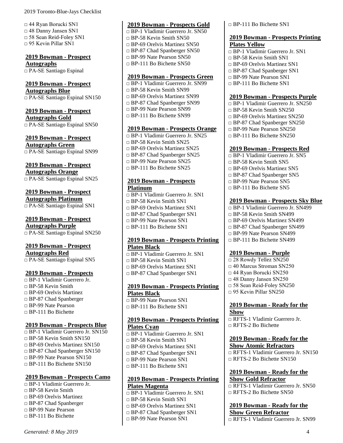□ 44 Ryan Borucki SN1 □ 48 Danny Jansen SN1 □ 58 Sean Reid-Foley SN1  $\Box$  95 Kevin Pillar SN1

<span id="page-11-0"></span>**2019 Bowman - Prospect Autographs** □ PA-SE Santiago Espinal

# <span id="page-11-1"></span>**2019 Bowman - Prospect**

**Autographs Blue** □ PA-SE Santiago Espinal SN150

## <span id="page-11-2"></span>**2019 Bowman - Prospect**

**Autographs Gold** □ PA-SE Santiago Espinal SN50

<span id="page-11-3"></span>**2019 Bowman - Prospect** 

**Autographs Green** □ PA-SE Santiago Espinal SN99

### <span id="page-11-4"></span>**2019 Bowman - Prospect**

**Autographs Orange** □ PA-SE Santiago Espinal SN25

<span id="page-11-5"></span>**2019 Bowman - Prospect Autographs Platinum** □ PA-SE Santiago Espinal SN1

<span id="page-11-6"></span>**2019 Bowman - Prospect Autographs Purple**

□ PA-SE Santiago Espinal SN250

# <span id="page-11-7"></span>**2019 Bowman - Prospect Autographs Red**

□ PA-SE Santiago Espinal SN5

#### <span id="page-11-8"></span>**2019 Bowman - Prospects**

□ BP-1 Vladimir Guerrero Jr.  $\Box$  BP-58 Kevin Smith □ BP-69 Orelvis Martinez □ BP-87 Chad Spanberger □ BP-99 Nate Pearson □ BP-111 Bo Bichette

#### <span id="page-11-9"></span>**2019 Bowman - Prospects Blue**

 $\Box$  BP-1 Vladimir Guerrero Ir. SN150  $\Box$  BP-58 Kevin Smith SN150  $\Box$  BP-69 Orelvis Martinez SN150 □ BP-87 Chad Spanberger SN150 □ BP-99 Nate Pearson SN150  $\n **CP-111**\n **Bo** Bichette SN150\n$ 

#### <span id="page-11-10"></span>**2019 Bowman - Prospects Camo**

□ BP-1 Vladimir Guerrero Jr.  $\Box$  BP-58 Kevin Smith □ BP-69 Orelvis Martinez □ BP-87 Chad Spanberger □ BP-99 Nate Pearson □ BP-111 Bo Bichette

# <span id="page-11-11"></span>**2019 Bowman - Prospects Gold**

- □ BP-1 Vladimir Guerrero Jr. SN50 □ BP-58 Kevin Smith SN50  $\Box$  BP-69 Orelvis Martinez SN50 □ BP-87 Chad Spanberger SN50 □ BP-99 Nate Pearson SN50
- $\Box$  BP-111 Bo Bichette SN50

#### <span id="page-11-12"></span>**2019 Bowman - Prospects Green**

□ BP-1 Vladimir Guerrero Jr. SN99 □ BP-58 Kevin Smith SN99 □ BP-69 Orelvis Martinez SN99 □ BP-87 Chad Spanberger SN99 □ BP-99 Nate Pearson SN99 □ BP-111 Bo Bichette SN99

# <span id="page-11-13"></span>**2019 Bowman - Prospects Orange**

- □ BP-1 Vladimir Guerrero Jr. SN25  $\Box$  BP-58 Kevin Smith SN25 □ BP-69 Orelvis Martinez SN25 □ BP-87 Chad Spanberger SN25 □ BP-99 Nate Pearson SN25
- □ BP-111 Bo Bichette SN25

#### <span id="page-11-14"></span>**2019 Bowman - Prospects Platinum**

□ BP-1 Vladimir Guerrero Jr. SN1  $\Box$  BP-58 Kevin Smith SN1  $\Box$  BP-69 Orelvis Martinez SN1 □ BP-87 Chad Spanberger SN1 □ BP-99 Nate Pearson SN1  $\Box$  BP-111 Bo Bichette SN1

#### <span id="page-11-15"></span>**2019 Bowman - Prospects Printing Plates Black**

□ BP-1 Vladimir Guerrero Jr. SN1  $\Box$  BP-58 Kevin Smith SN1 □ BP-69 Orelvis Martinez SN1 □ BP-87 Chad Spanberger SN1

#### <span id="page-11-16"></span>**2019 Bowman - Prospects Printing Plates Black**

□ BP-99 Nate Pearson SN1  $\Box$  BP-111 Bo Bichette SN1

#### <span id="page-11-17"></span>**2019 Bowman - Prospects Printing Plates Cyan**

□ BP-1 Vladimir Guerrero Jr. SN1  $\Box$  BP-58 Kevin Smith SN1 □ BP-69 Orelvis Martinez SN1 □ BP-87 Chad Spanberger SN1 □ BP-99 Nate Pearson SN1 □ BP-111 Bo Bichette SN1

#### <span id="page-11-18"></span>**2019 Bowman - Prospects Printing Plates Magenta**

□ BP-1 Vladimir Guerrero Jr. SN1  $\neg$  BP-58 Kevin Smith SN1 □ BP-69 Orelvis Martinez SN1 □ BP-87 Chad Spanberger SN1

□ BP-99 Nate Pearson SN1

□ BP-111 Bo Bichette SN1

#### <span id="page-11-19"></span>**2019 Bowman - Prospects Printing Plates Yellow**

- □ BP-1 Vladimir Guerrero Jr. SN1
- $\Box$  BP-58 Kevin Smith SN1
- $\Box$  BP-69 Orelvis Martinez SN1
- □ BP-87 Chad Spanberger SN1
- □ BP-99 Nate Pearson SN1
- $\Box$  BP-111 Bo Bichette SN1

#### <span id="page-11-20"></span>**2019 Bowman - Prospects Purple**

- □ BP-1 Vladimir Guerrero Jr. SN250
- $\n **CP-58**$  Kevin Smith SN250
- □ BP-69 Orelvis Martinez SN250
- □ BP-87 Chad Spanberger SN250
- □ BP-99 Nate Pearson SN250
- □ BP-111 Bo Bichette SN250

### <span id="page-11-21"></span>**2019 Bowman - Prospects Red**

- □ BP-1 Vladimir Guerrero Jr. SN5
- $\Box$  BP-58 Kevin Smith SN5
- □ BP-69 Orelvis Martinez SN5
- □ BP-87 Chad Spanberger SN5
- □ BP-99 Nate Pearson SN5
- □ BP-111 Bo Bichette SN5

### <span id="page-11-22"></span>**2019 Bowman - Prospects Sky Blue**

- □ BP-1 Vladimir Guerrero Jr. SN499
- $\Box$  BP-58 Kevin Smith SN499
- □ BP-69 Orelvis Martinez SN499
- □ BP-87 Chad Spanberger SN499
- □ BP-99 Nate Pearson SN499
- □ BP-111 Bo Bichette SN499

#### <span id="page-11-23"></span>**2019 Bowman - Purple**

□ 28 Rowdy Tellez SN250 □ 40 Marcus Stroman SN250 □ 44 Ryan Borucki SN250 □ 48 Danny Jansen SN250 □ 58 Sean Reid-Foley SN250  $\Box$  95 Kevin Pillar SN250

#### <span id="page-11-24"></span>**2019 Bowman - Ready for the Show**

□ RFTS-1 Vladimir Guerrero Jr. □ RFTS-2 Bo Bichette

#### <span id="page-11-25"></span>**2019 Bowman - Ready for the Show Atomic Refractors**

□ RFTS-1 Vladimir Guerrero Jr. SN150 □ RFTS-2 Bo Bichette SN150

# <span id="page-11-26"></span>**2019 Bowman - Ready for the Show Gold Refractor**

□ RFTS-1 Vladimir Guerrero Jr. SN50 □ RFTS-2 Bo Bichette SN50

<span id="page-11-27"></span>**2019 Bowman - Ready for the Show Green Refractor** □ RFTS-1 Vladimir Guerrero Jr. SN99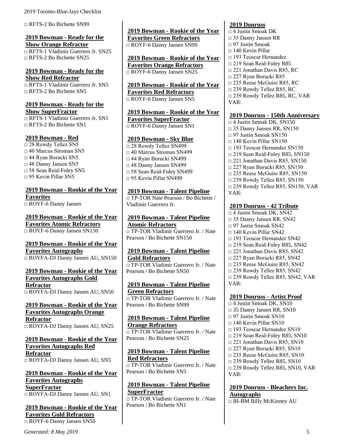□ RFTS-2 Bo Bichette SN99

#### <span id="page-12-0"></span>**2019 Bowman - Ready for the Show Orange Refractor**

□ RFTS-1 Vladimir Guerrero Jr. SN25 □ RFTS-2 Bo Bichette SN25

# <span id="page-12-1"></span>**2019 Bowman - Ready for the Show Red Refractor**

□ RFTS-1 Vladimir Guerrero Ir. SN5 □ RFTS-2 Bo Bichette SN5

#### <span id="page-12-2"></span>**2019 Bowman - Ready for the Show SuperFractor**

□ RFTS-1 Vladimir Guerrero Jr. SN1  $\n **RFTS-2 Bo Bichette SN1**$ 

### <span id="page-12-3"></span>**2019 Bowman - Red**

□ 28 Rowdy Tellez SN5 □ 40 Marcus Stroman SN5 □ 44 Ryan Borucki SN5 □ 48 Danny Jansen SN5 □ 58 Sean Reid-Foley SN5  $\Box$  95 Kevin Pillar SN5

# <span id="page-12-4"></span>**2019 Bowman - Rookie of the Year Favorites**

□ ROYF-6 Danny Jansen

<span id="page-12-5"></span>**2019 Bowman - Rookie of the Year Favorites Atomic Refractors** □ ROYF-6 Danny Jansen SN150

#### <span id="page-12-6"></span>**2019 Bowman - Rookie of the Year Favorites Autographs** □ ROYFA-DJ Danny Jansen AU, SN150

## <span id="page-12-7"></span>**2019 Bowman - Rookie of the Year Favorites Autographs Gold Refractor** □ ROYFA-DJ Danny Jansen AU, SN50

# <span id="page-12-8"></span>**2019 Bowman - Rookie of the Year Favorites Autographs Orange Refractor**

□ ROYFA-DJ Danny Jansen AU, SN25

## <span id="page-12-9"></span>**2019 Bowman - Rookie of the Year Favorites Autographs Red Refractor** □ ROYFA-DJ Danny Jansen AU, SN5

#### <span id="page-12-10"></span>**2019 Bowman - Rookie of the Year Favorites Autographs SuperFractor** □ ROYFA-DJ Danny Jansen AU, SN1

<span id="page-12-11"></span>**2019 Bowman - Rookie of the Year Favorites Gold Refractors** □ ROYF-6 Danny Jansen SN50

<span id="page-12-12"></span>**2019 Bowman - Rookie of the Year Favorites Green Refractors** □ ROYF-6 Danny Jansen SN99

<span id="page-12-13"></span>**2019 Bowman - Rookie of the Year Favorites Orange Refractors** □ ROYF-6 Danny Jansen SN25

<span id="page-12-14"></span>**2019 Bowman - Rookie of the Year Favorites Red Refractors** □ ROYF-6 Danny Jansen SN5

<span id="page-12-15"></span>**2019 Bowman - Rookie of the Year Favorites SuperFractor** □ ROYF-6 Danny Jansen SN1

# <span id="page-12-16"></span>**2019 Bowman - Sky Blue**

□ 28 Rowdy Tellez SN499 □ 40 Marcus Stroman SN499 □ 44 Ryan Borucki SN499 □ 48 Danny Jansen SN499 □ 58 Sean Reid-Foley SN499 □ 95 Kevin Pillar SN499

# <span id="page-12-17"></span>**2019 Bowman - Talent Pipeline**

□ TP-TOR Nate Pearson / Bo Bichette / Vladimir Guerrero Jr.

<span id="page-12-18"></span>**2019 Bowman - Talent Pipeline Atomic Refractors** □ TP-TOR Vladimir Guerrero Jr. / Nate Pearson / Bo Bichette SN150

#### <span id="page-12-19"></span>**2019 Bowman - Talent Pipeline Gold Refractors**

□ TP-TOR Vladimir Guerrero Jr. / Nate Pearson / Bo Bichette SN50

<span id="page-12-20"></span>**2019 Bowman - Talent Pipeline Green Refractors** □ TP-TOR Vladimir Guerrero Jr. / Nate Pearson / Bo Bichette SN99

#### <span id="page-12-21"></span>**2019 Bowman - Talent Pipeline Orange Refractors** □ TP-TOR Vladimir Guerrero Jr. / Nate

Pearson / Bo Bichette SN25

#### <span id="page-12-22"></span>**2019 Bowman - Talent Pipeline Red Refractors**

□ TP-TOR Vladimir Guerrero Jr. / Nate Pearson / Bo Bichette SN5

# <span id="page-12-23"></span>**2019 Bowman - Talent Pipeline SuperFractor**

□ TP-TOR Vladimir Guerrero Jr. / Nate Pearson / Bo Bichette SN1

# <span id="page-12-24"></span>**2019 Donruss**

□ 4 Justin Smoak DK □ 35 Danny Jansen RR  $\Box$  97 Justin Smoak  $\Box$  140 Kevin Pillar □ 193 Teoscar Hernandez □ 219 Sean Reid-Foley R85 □ 221 Jonathan Davis R85, RC □ 227 Ryan Borucki R85 □ 235 Reese McGuire R85, RC □ 239 Rowdy Tellez R85, RC □ 239 Rowdy Tellez R85, RC, VAR VAR:

#### <span id="page-12-25"></span>**2019 Donruss - 150th Anniversary**

 $\Box$  4 Justin Smoak DK, SN150  $\Box$  35 Danny Jansen RR, SN150 □ 97 Justin Smoak SN150  $\Box$  140 Kevin Pillar SN150 □ 193 Teoscar Hernandez SN150 □ 219 Sean Reid-Foley R85, SN150 □ 221 Jonathan Davis R85, SN150 □ 227 Ryan Borucki R85, SN150 □ 235 Reese McGuire R85, SN150  $\Box$  239 Rowdy Tellez R85, SN150 □ 239 Rowdy Tellez R85, SN150, VAR VAR:

### <span id="page-12-26"></span>**2019 Donruss - 42 Tribute**

□ 4 Justin Smoak DK, SN42 □ 35 Danny Jansen RR, SN42  $\Box$  97 Justin Smoak SN42  $\Box$  140 Kevin Pillar SN42 □ 193 Teoscar Hernandez SN42 □ 219 Sean Reid-Foley R85, SN42 □ 221 Jonathan Davis R85, SN42 □ 227 Ryan Borucki R85, SN42 □ 235 Reese McGuire R85, SN42 □ 239 Rowdy Tellez R85, SN42 □ 239 Rowdy Tellez R85, SN42, VAR VAR:

#### <span id="page-12-27"></span>**2019 Donruss - Artist Proof**

 $\Box$  4 Justin Smoak DK, SN10  $\Box$  35 Danny Jansen RR, SN10  $\Box$  97 Justin Smoak SN10  $\Box$  140 Kevin Pillar SN10 □ 193 Teoscar Hernandez SN10 □ 219 Sean Reid-Foley R85, SN10  $\Box$  221 Jonathan Davis R85, SN10  $\Box$  227 Ryan Borucki R85, SN10 □ 235 Reese McGuire R85, SN10  $\Box$  239 Rowdy Tellez R85, SN10  $\Box$  239 Rowdy Tellez R85, SN10, VAR VAR:

<span id="page-12-28"></span>**2019 Donruss - Bleachers Inc. Autographs** □ BI-BM Billy McKinney AU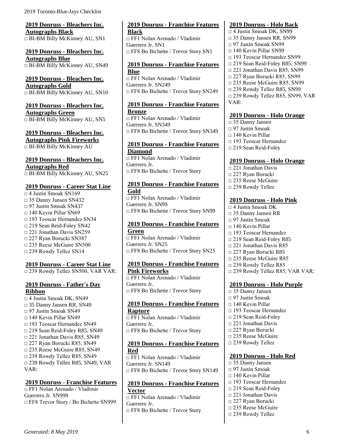<span id="page-13-0"></span>**2019 Donruss - Bleachers Inc. Autographs Black** □ BI-BM Billy McKinney AU, SN1

<span id="page-13-1"></span>**2019 Donruss - Bleachers Inc. Autographs Blue** □ BI-BM Billy McKinney AU, SN49

<span id="page-13-2"></span>**2019 Donruss - Bleachers Inc. Autographs Gold** □ BI-BM Billy McKinney AU, SN10

<span id="page-13-3"></span>**2019 Donruss - Bleachers Inc. Autographs Green**  $\Box$  BI-BM Billy McKinney AU, SN5

<span id="page-13-4"></span>**2019 Donruss - Bleachers Inc. Autographs Pink Fireworks** □ BI-BM Billy McKinney AU

#### <span id="page-13-5"></span>**2019 Donruss - Bleachers Inc. Autographs Red** □ BI-BM Billy McKinney AU, SN25

#### <span id="page-13-6"></span>**2019 Donruss - Career Stat Line**

□ 4 Justin Smoak SN169 □ 35 Danny Jansen SN432 □ 97 Justin Smoak SN437  $\Box$  140 Kevin Pillar SN69 □ 193 Teoscar Hernandez SN34 □ 219 Sean Reid-Foley SN42 □ 221 Jonathan Davis SN259 □ 227 Ryan Borucki SN387 □ 235 Reese McGuire SN500 □ 239 Rowdy Tellez SN14

#### <span id="page-13-7"></span>**2019 Donruss - Career Stat Line**

□ 239 Rowdy Tellez SN500, VAR VAR:

#### <span id="page-13-8"></span>**2019 Donruss - Father's Day Ribbon**

□ 4 Justin Smoak DK, SN49 □ 35 Danny Jansen RR, SN49 □ 97 Justin Smoak SN49  $\Box$  140 Kevin Pillar SN49 □ 193 Teoscar Hernandez SN49 □ 219 Sean Reid-Foley R85, SN49  $\Box$  221 Jonathan Davis R85, SN49  $\Box$  227 Ryan Borucki R85, SN49 □ 235 Reese McGuire R85, SN49 □ 239 Rowdy Tellez R85, SN49 □ 239 Rowdy Tellez R85, SN49, VAR VAR:

#### <span id="page-13-9"></span>**2019 Donruss - Franchise Features**

□ FF1 Nolan Arenado / Vladimir Guerrero Jr. SN999 □ FF8 Trevor Story / Bo Bichette SN999

#### <span id="page-13-10"></span>**2019 Donruss - Franchise Features Black**

□ FF1 Nolan Arenado / Vladimir Guerrero Jr. SN1 □ FF8 Bo Bichette / Trevor Story SN1

#### <span id="page-13-11"></span>**2019 Donruss - Franchise Features Blue**

□ FF1 Nolan Arenado / Vladimir Guerrero Jr. SN249 □ FF8 Bo Bichette / Trevor Story SN249

#### <span id="page-13-12"></span>**2019 Donruss - Franchise Features Bronze**

□ FF1 Nolan Arenado / Vladimir Guerrero Jr. SN349 □ FF8 Bo Bichette / Trevor Story SN349

# <span id="page-13-13"></span>**2019 Donruss - Franchise Features**

**Diamond**  $\overline{\Box}$  FF1 Nolan Arenado / Vladimir Guerrero Jr. □ FF8 Bo Bichette / Trevor Story

## <span id="page-13-14"></span>**2019 Donruss - Franchise Features Gold**

 $\overline{\Pi}$  FF1 Nolan Arenado / Vladimir Guerrero Jr. SN99 □ FF8 Bo Bichette / Trevor Story SN99

#### <span id="page-13-15"></span>**2019 Donruss - Franchise Features Green**

□ FF1 Nolan Arenado / Vladimir Guerrero Jr. SN25 □ FF8 Bo Bichette / Trevor Story SN25

#### <span id="page-13-16"></span>**2019 Donruss - Franchise Features Pink Fireworks** □ FF1 Nolan Arenado / Vladimir

Guerrero Jr. □ FF8 Bo Bichette / Trevor Story

#### <span id="page-13-17"></span>**2019 Donruss - Franchise Features Rapture**

□ FF1 Nolan Arenado / Vladimir Guerrero Jr. □ FF8 Bo Bichette / Trevor Story

#### <span id="page-13-18"></span>**2019 Donruss - Franchise Features Red**

□ FF1 Nolan Arenado / Vladimir Guerrero Jr. SN149 □ FF8 Bo Bichette / Trevor Story SN149

#### <span id="page-13-19"></span>**2019 Donruss - Franchise Features Vector**

□ FF1 Nolan Arenado / Vladimir Guerrero Jr. □ FF8 Bo Bichette / Trevor Story

#### <span id="page-13-20"></span>**2019 Donruss - Holo Back**

□ 4 Justin Smoak DK, SN99 □ 35 Danny Jansen RR, SN99 □ 97 Justin Smoak SN99  $\Box$  140 Kevin Pillar SN99 □ 193 Teoscar Hernandez SN99 □ 219 Sean Reid-Foley R85, SN99 □ 221 Jonathan Davis R85, SN99 □ 227 Ryan Borucki R85, SN99 □ 235 Reese McGuire R85, SN99 □ 239 Rowdy Tellez R85, SN99 □ 239 Rowdy Tellez R85, SN99, VAR VAR:

#### <span id="page-13-21"></span>**2019 Donruss - Holo Orange**

- □ 35 Danny Jansen
- □ 97 Justin Smoak
- $\Box$  140 Kevin Pillar
- □ 193 Teoscar Hernandez
- □ 219 Sean Reid-Foley

#### <span id="page-13-22"></span>**2019 Donruss - Holo Orange**

- $\Box$  221 Jonathan Davis
- □ 227 Ryan Borucki
- □ 235 Reese McGuire
- □ 239 Rowdy Tellez

#### <span id="page-13-23"></span>**2019 Donruss - Holo Pink**

- □ 4 Justin Smoak DK □ 35 Danny Jansen RR  $\Box$  97 Justin Smoak  $\Box$  140 Kevin Pillar □ 193 Teoscar Hernandez □ 219 Sean Reid-Foley R85 □ 221 Jonathan Davis R85 □ 227 Ryan Borucki R85 □ 235 Reese McGuire R85
- □ 239 Rowdy Tellez R85
- □ 239 Rowdy Tellez R85, VAR VAR:

#### <span id="page-13-24"></span>**2019 Donruss - Holo Purple**

□ 35 Danny Jansen  $\Box$  97 Justin Smoak  $\Box$  140 Kevin Pillar □ 193 Teoscar Hernandez □ 219 Sean Reid-Foley □ 221 Jonathan Davis □ 227 Ryan Borucki □ 235 Reese McGuire □ 239 Rowdy Tellez

#### <span id="page-13-25"></span>**2019 Donruss - Holo Red**

□ 35 Danny Jansen □ 97 Justin Smoak □ 140 Kevin Pillar □ 193 Teoscar Hernandez □ 219 Sean Reid-Foley □ 221 Jonathan Davis □ 227 Ryan Borucki □ 235 Reese McGuire □ 239 Rowdy Tellez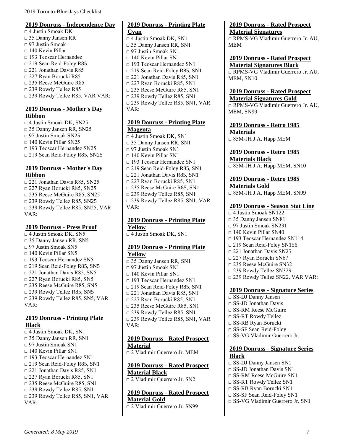#### <span id="page-14-0"></span>**2019 Donruss - Independence Day**

□ 4 Justin Smoak DK □ 35 Danny Jansen RR □ 97 Justin Smoak  $\Box$  140 Kevin Pillar □ 193 Teoscar Hernandez □ 219 Sean Reid-Foley R85 □ 221 Jonathan Davis R85 □ 227 Ryan Borucki R85 □ 235 Reese McGuire R85 □ 239 Rowdy Tellez R85 □ 239 Rowdy Tellez R85, VAR VAR:

#### <span id="page-14-1"></span>**2019 Donruss - Mother's Day Ribbon**

□ 4 Justin Smoak DK, SN25 □ 35 Danny Jansen RR, SN25 □ 97 Justin Smoak SN25  $\Box$  140 Kevin Pillar SN25 □ 193 Teoscar Hernandez SN25 □ 219 Sean Reid-Foley R85, SN25

#### <span id="page-14-2"></span>**2019 Donruss - Mother's Day Ribbon**

□ 221 Jonathan Davis R85, SN25 □ 227 Ryan Borucki R85, SN25 □ 235 Reese McGuire R85, SN25  $\Box$  239 Rowdy Tellez R85, SN25 □ 239 Rowdy Tellez R85, SN25, VAR VAR:

#### <span id="page-14-3"></span>**2019 Donruss - Press Proof**

□ 4 Justin Smoak DK, SN5 □ 35 Danny Jansen RR, SN5 □ 97 Justin Smoak SN5  $\Box$  140 Kevin Pillar SN5 □ 193 Teoscar Hernandez SN5 □ 219 Sean Reid-Foley R85, SN5  $\Box$  221 Jonathan Davis R85, SN5 □ 227 Ryan Borucki R85, SN5 □ 235 Reese McGuire R85, SN5 □ 239 Rowdy Tellez R85, SN5 □ 239 Rowdy Tellez R85, SN5, VAR VAR:

#### <span id="page-14-4"></span>**2019 Donruss - Printing Plate Black**

 $\Box$  4 Justin Smoak DK, SN1 □ 35 Danny Jansen RR, SN1 □ 97 Justin Smoak SN1 □ 140 Kevin Pillar SN1 □ 193 Teoscar Hernandez SN1 □ 219 Sean Reid-Foley R85, SN1  $\Box$  221 Jonathan Davis R85, SN1 □ 227 Ryan Borucki R85, SN1 □ 235 Reese McGuire R85, SN1  $\Box$  239 Rowdy Tellez R85, SN1 □ 239 Rowdy Tellez R85, SN1, VAR VAR:

# <span id="page-14-5"></span>**2019 Donruss - Printing Plate Cyan**  $\Box$  4 Justin Smoak DK, SN1

□ 35 Danny Jansen RR, SN1 □ 97 Justin Smoak SN1  $\Box$  140 Kevin Pillar SN1 □ 193 Teoscar Hernandez SN1 □ 219 Sean Reid-Foley R85, SN1 □ 221 Jonathan Davis R85, SN1 □ 227 Ryan Borucki R85, SN1 □ 235 Reese McGuire R85, SN1  $\Box$  239 Rowdy Tellez R85, SN1 □ 239 Rowdy Tellez R85, SN1, VAR VAR:

#### <span id="page-14-6"></span>**2019 Donruss - Printing Plate Magenta**

□ 4 Justin Smoak DK, SN1 □ 35 Danny Jansen RR, SN1 □ 97 Justin Smoak SN1  $\Box$  140 Kevin Pillar SN1 □ 193 Teoscar Hernandez SN1 □ 219 Sean Reid-Foley R85, SN1  $\Box$  221 Jonathan Davis R85, SN1 □ 227 Ryan Borucki R85, SN1 □ 235 Reese McGuire R85, SN1 □ 239 Rowdy Tellez R85, SN1 □ 239 Rowdy Tellez R85, SN1, VAR VAR:

#### <span id="page-14-7"></span>**2019 Donruss - Printing Plate Yellow**

□ 4 Justin Smoak DK, SN1

#### <span id="page-14-8"></span>**2019 Donruss - Printing Plate Yellow**

□ 35 Danny Jansen RR, SN1 □ 97 Justin Smoak SN1  $\Box$  140 Kevin Pillar SN1 □ 193 Teoscar Hernandez SN1 □ 219 Sean Reid-Foley R85, SN1  $\Box$  221 Jonathan Davis R85, SN1 □ 227 Ryan Borucki R85, SN1 □ 235 Reese McGuire R85, SN1  $\Box$  239 Rowdy Tellez R85, SN1 □ 239 Rowdy Tellez R85, SN1, VAR VAR:

#### <span id="page-14-9"></span>**2019 Donruss - Rated Prospect Material**

□ 2 Vladimir Guerrero Jr. MEM

# <span id="page-14-10"></span>**2019 Donruss - Rated Prospect Material Black**

□ 2 Vladimir Guerrero Jr. SN2

# <span id="page-14-11"></span>**2019 Donruss - Rated Prospect Material Gold**

□ 2 Vladimir Guerrero Jr. SN99

#### <span id="page-14-12"></span>**2019 Donruss - Rated Prospect Material Signatures**

□ RPMS-VG Vladimir Guerrero Jr. AU, MEM

#### <span id="page-14-13"></span>**2019 Donruss - Rated Prospect Material Signatures Black**

□ RPMS-VG Vladimir Guerrero Jr. AU, MEM, SN10

# <span id="page-14-14"></span>**2019 Donruss - Rated Prospect**

**Material Signatures Gold** □ RPMS-VG Vladimir Guerrero Jr. AU, MEM, SN99

<span id="page-14-15"></span>**2019 Donruss - Retro 1985 Materials**  $\overline{0.85M\text{-}JHJ}$ . Happ MEM

<span id="page-14-16"></span>**2019 Donruss - Retro 1985 Materials Black**  $\Box$  85M-JH J.A. Happ MEM, SN10

# <span id="page-14-17"></span>**2019 Donruss - Retro 1985**

**Materials Gold**  $\overline{\Box}$  85M-JH J.A. Happ MEM, SN99

#### <span id="page-14-18"></span>**2019 Donruss - Season Stat Line**

□ 4 Justin Smoak SN122 □ 35 Danny Jansen SN81  $\neg$  97 Justin Smoak SN231  $\Box$  140 Kevin Pillar SN40 □ 193 Teoscar Hernandez SN114 □ 219 Sean Reid-Foley SN156 □ 221 Jonathan Davis SN25 □ 227 Ryan Borucki SN67 □ 235 Reese McGuire SN32 □ 239 Rowdy Tellez SN329 □ 239 Rowdy Tellez SN22, VAR VAR:

## <span id="page-14-19"></span>**2019 Donruss - Signature Series**

- □ SS-DJ Danny Jansen
- □ SS-JD Jonathan Davis
- □ SS-RM Reese McGuire
- □ SS-RT Rowdy Tellez
- □ SS-RB Ryan Borucki
- □ SS-SF Sean Reid-Foley
- □ SS-VG Vladimir Guerrero Jr.

#### <span id="page-14-20"></span>**2019 Donruss - Signature Series Black**

- □ SS-DJ Danny Jansen SN1
- □ SS-JD Jonathan Davis SN1
- □ SS-RM Reese McGuire SN1
- □ SS-RT Rowdy Tellez SN1
- □ SS-RB Ryan Borucki SN1
- □ SS-SF Sean Reid-Foley SN1
- □ SS-VG Vladimir Guerrero Jr. SN1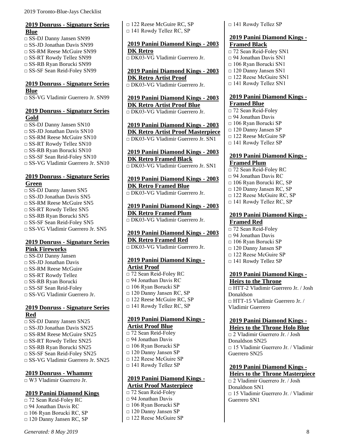### <span id="page-15-0"></span>**2019 Donruss - Signature Series Blue**

□ SS-DJ Danny Jansen SN99 □ SS-JD Jonathan Davis SN99 □ SS-RM Reese McGuire SN99 □ SS-RT Rowdy Tellez SN99 □ SS-RB Ryan Borucki SN99 □ SS-SF Sean Reid-Foley SN99

#### <span id="page-15-1"></span>**2019 Donruss - Signature Series Blue**

□ SS-VG Vladimir Guerrero Jr. SN99

# <span id="page-15-2"></span>**2019 Donruss - Signature Series Gold**

□ SS-DJ Danny Jansen SN10  $\Box$  SS-JD Jonathan Davis SN10 □ SS-RM Reese McGuire SN10 □ SS-RT Rowdy Tellez SN10 □ SS-RB Ryan Borucki SN10 □ SS-SF Sean Reid-Foley SN10 □ SS-VG Vladimir Guerrero Jr. SN10

# <span id="page-15-3"></span>**2019 Donruss - Signature Series Green**

□ SS-DJ Danny Jansen SN5  $\Box$  SS-JD Jonathan Davis SN5 □ SS-RM Reese McGuire SN5 □ SS-RT Rowdy Tellez SN5 □ SS-RB Ryan Borucki SN5 □ SS-SF Sean Reid-Foley SN5 □ SS-VG Vladimir Guerrero Jr. SN5

# <span id="page-15-4"></span>**2019 Donruss - Signature Series Pink Fireworks**

□ SS-DJ Danny Jansen □ SS-JD Jonathan Davis □ SS-RM Reese McGuire □ SS-RT Rowdy Tellez □ SS-RB Ryan Borucki □ SS-SF Sean Reid-Foley □ SS-VG Vladimir Guerrero Ir.

### <span id="page-15-5"></span>**2019 Donruss - Signature Series Red**

□ SS-DJ Danny Jansen SN25  $\square$  SS-JD Jonathan Davis SN25 □ SS-RM Reese McGuire SN25 □ SS-RT Rowdy Tellez SN25 □ SS-RB Ryan Borucki SN25 □ SS-SF Sean Reid-Foley SN25 □ SS-VG Vladimir Guerrero Jr. SN25

# <span id="page-15-6"></span>**2019 Donruss - Whammy**

□ W3 Vladimir Guerrero Jr.

#### <span id="page-15-7"></span>**2019 Panini Diamond Kings**

□ 72 Sean Reid-Foley RC □ 94 Jonathan Davis RC □ 106 Ryan Borucki RC, SP □ 120 Danny Jansen RC, SP □ 122 Reese McGuire RC, SP □ 141 Rowdy Tellez RC, SP

# <span id="page-15-8"></span>**2019 Panini Diamond Kings - 2003 DK Retro**

□ DK03-VG Vladimir Guerrero Jr.

<span id="page-15-9"></span>**2019 Panini Diamond Kings - 2003 DK Retro Artist Proof** □ DK03-VG Vladimir Guerrero Jr.

<span id="page-15-10"></span>**2019 Panini Diamond Kings - 2003 DK Retro Artist Proof Blue** □ DK03-VG Vladimir Guerrero Jr.

<span id="page-15-11"></span>**2019 Panini Diamond Kings - 2003 DK Retro Artist Proof Masterpiece** □ DK03-VG Vladimir Guerrero Jr. SN1

#### <span id="page-15-12"></span>**2019 Panini Diamond Kings - 2003 DK Retro Framed Black** □ DK03-VG Vladimir Guerrero Jr. SN1

<span id="page-15-13"></span>**2019 Panini Diamond Kings - 2003 DK Retro Framed Blue** □ DK03-VG Vladimir Guerrero Jr.

<span id="page-15-14"></span>**2019 Panini Diamond Kings - 2003 DK Retro Framed Plum** □ DK03-VG Vladimir Guerrero Jr.

<span id="page-15-15"></span>**2019 Panini Diamond Kings - 2003 DK Retro Framed Red** □ DK03-VG Vladimir Guerrero Jr.

# <span id="page-15-16"></span>**2019 Panini Diamond Kings - Artist Proof**

□ 72 Sean Reid-Foley RC □ 94 Jonathan Davis RC □ 106 Ryan Borucki SP □ 120 Danny Jansen RC, SP □ 122 Reese McGuire RC, SP □ 141 Rowdy Tellez RC, SP

#### <span id="page-15-17"></span>**2019 Panini Diamond Kings - Artist Proof Blue**

- □ 72 Sean Reid-Foley □ 94 Jonathan Davis □ 106 Ryan Borucki SP □ 120 Danny Jansen SP □ 122 Reese McGuire SP □ 141 Rowdy Tellez SP
- 

#### <span id="page-15-18"></span>**2019 Panini Diamond Kings - Artist Proof Masterpiece**

□ 72 Sean Reid-Foley □ 94 Jonathan Davis

- □ 106 Ryan Borucki SP
- □ 120 Danny Jansen SP
- □ 122 Reese McGuire SP

□ 141 Rowdy Tellez SP

#### <span id="page-15-19"></span>**2019 Panini Diamond Kings - Framed Black**

□ 72 Sean Reid-Foley SN1  $\Box$  94 Jonathan Davis SN1 □ 106 Ryan Borucki SN1 □ 120 Danny Jansen SN1 □ 122 Reese McGuire SN1 □ 141 Rowdy Tellez SN1

#### <span id="page-15-20"></span>**2019 Panini Diamond Kings - Framed Blue**

□ 72 Sean Reid-Foley  $\Box$  94 Jonathan Davis □ 106 Ryan Borucki SP □ 120 Danny Jansen SP □ 122 Reese McGuire SP □ 141 Rowdy Tellez SP

# <span id="page-15-21"></span>**2019 Panini Diamond Kings - Framed Plum**

- □ 72 Sean Reid-Foley RC □ 94 Jonathan Davis RC □ 106 Ryan Borucki RC, SP  $\Box$  120 Danny Jansen RC, SP
- □ 122 Reese McGuire RC, SP
- □ 141 Rowdy Tellez RC, SP

#### <span id="page-15-22"></span>**2019 Panini Diamond Kings - Framed Red**

- □ 72 Sean Reid-Foley  $\Box$  94 Jonathan Davis □ 106 Ryan Borucki SP □ 120 Danny Jansen SP
- □ 122 Reese McGuire SP
- □ 141 Rowdy Tellez SP

### <span id="page-15-23"></span>**2019 Panini Diamond Kings - Heirs to the Throne**

□ HTT-2 Vladimir Guerrero Jr. / Josh Donaldson □ HTT-15 Vladimir Guerrero Jr. / Vladimir Guerrero

# <span id="page-15-24"></span>**2019 Panini Diamond Kings -**

**Heirs to the Throne Holo Blue** □ 2 Vladimir Guerrero Jr. / Josh Donaldson SN25 □ 15 Vladimir Guerrero Jr. / Vladimir Guerrero SN25

### <span id="page-15-25"></span>**2019 Panini Diamond Kings - Heirs to the Throne Masterpiece**

□ 2 Vladimir Guerrero Jr. / Josh Donaldson SN1 □ 15 Vladimir Guerrero Jr. / Vladimir Guerrero SN1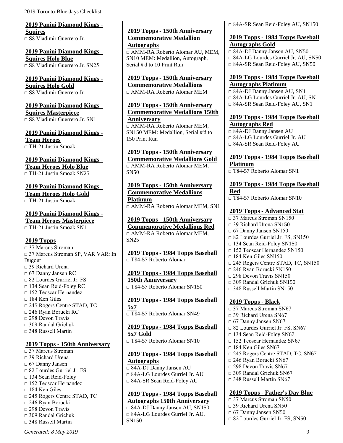<span id="page-16-0"></span>**2019 Panini Diamond Kings - Squires** □ S8 Vladimir Guerrero Jr.

<span id="page-16-1"></span>**2019 Panini Diamond Kings - Squires Holo Blue** □ S8 Vladimir Guerrero Jr. SN25

#### <span id="page-16-2"></span>**2019 Panini Diamond Kings - Squires Holo Gold** □ S8 Vladimir Guerrero Jr.

# <span id="page-16-3"></span>**2019 Panini Diamond Kings - Squires Masterpiece**

□ S8 Vladimir Guerrero Jr. SN1

<span id="page-16-4"></span>**2019 Panini Diamond Kings - Team Heroes** □ TH-21 Justin Smoak

<span id="page-16-5"></span>**2019 Panini Diamond Kings - Team Heroes Holo Blue**  $\Box$  TH-21 Justin Smoak SN25

# <span id="page-16-6"></span>**2019 Panini Diamond Kings -**

**Team Heroes Holo Gold**

 $\Box$  TH-21 Justin Smoak

# <span id="page-16-7"></span>**2019 Panini Diamond Kings -**

**Team Heroes Masterpiece**  $\Box$  TH-21 Justin Smoak SN1

# <span id="page-16-8"></span>**2019 Topps**

□ 37 Marcus Stroman □ 37 Marcus Stroman SP, VAR VAR: In Dugout □ 39 Richard Urena □ 67 Danny Jansen RC □ 82 Lourdes Gurriel Jr. FS □ 134 Sean Reid-Foley RC □ 152 Teoscar Hernandez □ 184 Ken Giles □ 245 Rogers Centre STAD, TC □ 246 Ryan Borucki RC  $\Box$  298 Devon Travis  $\Box$  309 Randal Grichuk  $\Box$  348 Russell Martin

#### <span id="page-16-9"></span>**2019 Topps - 150th Anniversary**

 $\Box$  37 Marcus Stroman □ 39 Richard Urena □ 67 Danny Jansen □ 82 Lourdes Gurriel Jr. FS □ 134 Sean Reid-Foley □ 152 Teoscar Hernandez  $\Box$  184 Ken Giles □ 245 Rogers Centre STAD, TC □ 246 Ryan Borucki  $\Box$  298 Devon Travis  $\Box$  309 Randal Grichuk □ 348 Russell Martin

<span id="page-16-10"></span>**2019 Topps - 150th Anniversary Commemorative Medallion Autographs** □ AMM-RA Roberto Alomar AU, MEM, SN10 MEM: Medallion, Autograph, Serial #'d to 10 Print Run

<span id="page-16-11"></span>**2019 Topps - 150th Anniversary Commemorative Medallions** □ AMM-RA Roberto Alomar MEM

<span id="page-16-12"></span>**2019 Topps - 150th Anniversary Commemorative Medallions 150th Anniversary**

□ AMM-RA Roberto Alomar MEM, SN150 MEM: Medallion, Serial #'d to 150 Print Run

# <span id="page-16-13"></span>**2019 Topps - 150th Anniversary**

**Commemorative Medallions Gold** □ AMM-RA Roberto Alomar MEM, SN50

<span id="page-16-14"></span>**2019 Topps - 150th Anniversary Commemorative Medallions Platinum** □ AMM-RA Roberto Alomar MEM, SN1

<span id="page-16-15"></span>**2019 Topps - 150th Anniversary Commemorative Medallions Red** □ AMM-RA Roberto Alomar MEM, SN25

<span id="page-16-16"></span>**2019 Topps - 1984 Topps Baseball** □ T84-57 Roberto Alomar

<span id="page-16-17"></span>**2019 Topps - 1984 Topps Baseball 150th Anniversary** □ T84-57 Roberto Alomar SN150

<span id="page-16-18"></span>**2019 Topps - 1984 Topps Baseball 5x7**  $\overline{0.784}$ -57 Roberto Alomar SN49

<span id="page-16-19"></span>**2019 Topps - 1984 Topps Baseball 5x7 Gold** □ T84-57 Roberto Alomar SN10

# <span id="page-16-20"></span>**2019 Topps - 1984 Topps Baseball Autographs**

□ 84A-DJ Danny Jansen AU □ 84A-LG Lourdes Gurriel Jr. AU □ 84A-SR Sean Reid-Foley AU

<span id="page-16-21"></span>**2019 Topps - 1984 Topps Baseball Autographs 150th Anniversary**

 $\Box$  84A-DJ Danny Jansen AU, SN150 □ 84A-LG Lourdes Gurriel Jr. AU, SN150

□ 84A-SR Sean Reid-Foley AU, SN150

#### <span id="page-16-22"></span>**2019 Topps - 1984 Topps Baseball Autographs Gold**

□ 84A-DJ Danny Jansen AU, SN50 □ 84A-LG Lourdes Gurriel Jr. AU, SN50 □ 84A-SR Sean Reid-Foley AU, SN50

#### <span id="page-16-23"></span>**2019 Topps - 1984 Topps Baseball Autographs Platinum**

□ 84A-DJ Danny Jansen AU, SN1 □ 84A-LG Lourdes Gurriel Jr. AU, SN1 □ 84A-SR Sean Reid-Foley AU, SN1

### <span id="page-16-24"></span>**2019 Topps - 1984 Topps Baseball Autographs Red**

□ 84A-DJ Danny Jansen AU □ 84A-LG Lourdes Gurriel Jr. AU □ 84A-SR Sean Reid-Foley AU

<span id="page-16-25"></span>**2019 Topps - 1984 Topps Baseball Platinum** □ T84-57 Roberto Alomar SN1

<span id="page-16-26"></span>**2019 Topps - 1984 Topps Baseball Red**

□ T84-57 Roberto Alomar SN10

# <span id="page-16-27"></span>**2019 Topps - Advanced Stat**

□ 37 Marcus Stroman SN150  $\Box$  39 Richard Urena SN150  $\Box$  67 Danny Jansen SN150 □ 82 Lourdes Gurriel Jr. FS, SN150 □ 134 Sean Reid-Foley SN150 □ 152 Teoscar Hernandez SN150  $\Box$  184 Ken Giles SN150 □ 245 Rogers Centre STAD, TC, SN150 □ 246 Ryan Borucki SN150  $\Box$  298 Devon Travis SN150 □ 309 Randal Grichuk SN150 □ 348 Russell Martin SN150

# <span id="page-16-28"></span>**2019 Topps - Black**

- □ 37 Marcus Stroman SN67  $\Box$  39 Richard Urena SN67 □ 67 Danny Jansen SN67  $\Box$  82 Lourdes Gurriel Jr. FS, SN67 □ 134 Sean Reid-Foley SN67  $\Box$  152 Teoscar Hernandez SN67  $\Box$  184 Ken Giles SN67 □ 245 Rogers Centre STAD, TC, SN67 □ 246 Ryan Borucki SN67  $\Box$  298 Devon Travis SN67  $\Box$  309 Randal Grichuk SN67  $\Box$  348 Russell Martin SN67 **2019 Topps - Father's Day Blue**
- <span id="page-16-29"></span> $\Box$  37 Marcus Stroman SN50 □ 39 Richard Urena SN50 □ 67 Danny Jansen SN50 □ 82 Lourdes Gurriel Jr. FS, SN50

*Generated: 8 May 2019* 9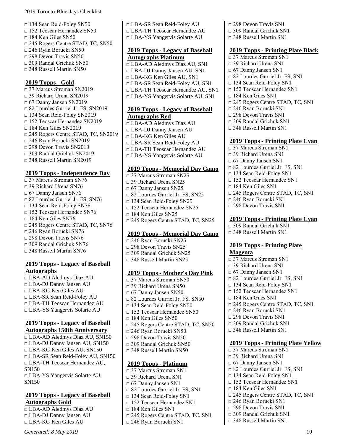- □ 134 Sean Reid-Foley SN50
- □ 152 Teoscar Hernandez SN50
- $\Box$  184 Ken Giles SN50
- □ 245 Rogers Centre STAD, TC, SN50
- □ 246 Ryan Borucki SN50
- $\Box$  298 Devon Travis SN50
- $\Box$  309 Randal Grichuk SN50
- $\Box$  348 Russell Martin SN50

# <span id="page-17-0"></span>**2019 Topps - Gold**

□ 37 Marcus Stroman SN2019 □ 39 Richard Urena SN2019  $\Box$  67 Danny Jansen SN2019 □ 82 Lourdes Gurriel Jr. FS, SN2019 □ 134 Sean Reid-Foley SN2019 □ 152 Teoscar Hernandez SN2019 □ 184 Ken Giles SN2019 □ 245 Rogers Centre STAD, TC, SN2019 □ 246 Ryan Borucki SN2019 □ 298 Devon Travis SN2019 □ 309 Randal Grichuk SN2019 □ 348 Russell Martin SN2019

# <span id="page-17-1"></span>**2019 Topps - Independence Day**

□ 37 Marcus Stroman SN76  $\Box$  39 Richard Urena SN76 □ 67 Danny Jansen SN76 □ 82 Lourdes Gurriel Jr. FS, SN76 □ 134 Sean Reid-Foley SN76 □ 152 Teoscar Hernandez SN76 □ 184 Ken Giles SN76 □ 245 Rogers Centre STAD, TC, SN76 □ 246 Ryan Borucki SN76  $\Box$  298 Devon Travis SN76  $\Box$  309 Randal Grichuk SN76

# □ 348 Russell Martin SN76

### <span id="page-17-2"></span>**2019 Topps - Legacy of Baseball Autographs**

□ LBA-AD Aledmys Diaz AU □ LBA-DJ Danny Jansen AU □ LBA-KG Ken Giles AU □ LBA-SR Sean Reid-Foley AU □ LBA-TH Teoscar Hernandez AU □ LBA-YS Yangervis Solarte AU

#### <span id="page-17-3"></span>**2019 Topps - Legacy of Baseball Autographs 150th Anniversary**

□ LBA-AD Aledmys Diaz AU, SN150 □ LBA-DJ Danny Jansen AU, SN150 □ LBA-KG Ken Giles AU, SN150 □ LBA-SR Sean Reid-Foley AU, SN150 □ LBA-TH Teoscar Hernandez AU, SN150 □ LBA-YS Yangervis Solarte AU, SN150

#### <span id="page-17-4"></span>**2019 Topps - Legacy of Baseball Autographs Gold**

□ LBA-AD Aledmys Diaz AU □ LBA-DJ Danny Jansen AU □ LBA-KG Ken Giles AU

*Generated: 8 May 2019* 10

- □ LBA-SR Sean Reid-Foley AU
- □ LBA-TH Teoscar Hernandez AU
- □ LBA-YS Yangervis Solarte AU

# <span id="page-17-5"></span>**2019 Topps - Legacy of Baseball Autographs Platinum**

- □ LBA-AD Aledmys Diaz AU, SN1
- □ LBA-DJ Danny Jansen AU, SN1
- □ LBA-KG Ken Giles AU, SN1
- □ LBA-SR Sean Reid-Foley AU, SN1
- □ LBA-TH Teoscar Hernandez AU, SN1 □ LBA-YS Yangervis Solarte AU, SN1

# <span id="page-17-6"></span>**2019 Topps - Legacy of Baseball Autographs Red**

- □ LBA-AD Aledmys Diaz AU □ LBA-DJ Danny Jansen AU □ LBA-KG Ken Giles AU □ LBA-SR Sean Reid-Foley AU □ LBA-TH Teoscar Hernandez AU
- □ LBA-YS Yangervis Solarte AU

# <span id="page-17-7"></span>**2019 Topps - Memorial Day Camo**

□ 37 Marcus Stroman SN25 □ 39 Richard Urena SN25 □ 67 Danny Jansen SN25  $\Box$  82 Lourdes Gurriel Jr. FS, SN25 □ 134 Sean Reid-Foley SN25 □ 152 Teoscar Hernandez SN25  $\Box$  184 Ken Giles SN25 □ 245 Rogers Centre STAD, TC, SN25

# <span id="page-17-8"></span>**2019 Topps - Memorial Day Camo**

□ 246 Ryan Borucki SN25 □ 298 Devon Travis SN25 □ 309 Randal Grichuk SN25 □ 348 Russell Martin SN25

#### <span id="page-17-9"></span>**2019 Topps - Mother's Day Pink**

□ 37 Marcus Stroman SN50  $\Box$  39 Richard Urena SN50 □ 67 Danny Jansen SN50 □ 82 Lourdes Gurriel Jr. FS, SN50 □ 134 Sean Reid-Foley SN50 □ 152 Teoscar Hernandez SN50  $\Box$  184 Ken Giles SN50 □ 245 Rogers Centre STAD, TC, SN50 □ 246 Ryan Borucki SN50 □ 298 Devon Travis SN50  $\Box$  309 Randal Grichuk SN50 □ 348 Russell Martin SN50

# <span id="page-17-10"></span>**2019 Topps - Platinum**

- □ 37 Marcus Stroman SN1  $\Box$  39 Richard Urena SN1 □ 67 Danny Jansen SN1
- □ 82 Lourdes Gurriel Jr. FS, SN1
- □ 134 Sean Reid-Foley SN1
- □ 152 Teoscar Hernandez SN1
- □ 184 Ken Giles SN1
- □ 245 Rogers Centre STAD, TC, SN1
- □ 246 Ryan Borucki SN1
- □ 298 Devon Travis SN1
- □ 309 Randal Grichuk SN1
- □ 348 Russell Martin SN1

## <span id="page-17-11"></span>**2019 Topps - Printing Plate Black**

- □ 37 Marcus Stroman SN1
- □ 39 Richard Urena SN1
- □ 67 Danny Jansen SN1
- □ 82 Lourdes Gurriel Jr. FS, SN1
- □ 134 Sean Reid-Foley SN1
- □ 152 Teoscar Hernandez SN1
- □ 184 Ken Giles SN1
- □ 245 Rogers Centre STAD, TC, SN1
- □ 246 Ryan Borucki SN1
- □ 298 Devon Travis SN1
- $\Box$  309 Randal Grichuk SN1
- □ 348 Russell Martin SN1

# <span id="page-17-12"></span>**2019 Topps - Printing Plate Cyan**

- □ 37 Marcus Stroman SN1
- □ 39 Richard Urena SN1
- □ 67 Danny Jansen SN1
- □ 82 Lourdes Gurriel Jr. FS, SN1
- □ 134 Sean Reid-Foley SN1
- □ 152 Teoscar Hernandez SN1
- $\Box$  184 Ken Giles SN1
- □ 245 Rogers Centre STAD, TC, SN1
- □ 246 Ryan Borucki SN1
- □ 298 Devon Travis SN1

# <span id="page-17-13"></span>**2019 Topps - Printing Plate Cyan**

- $\overline{1309}$  Randal Grichuk SN1
- □ 348 Russell Martin SN1

#### <span id="page-17-14"></span>**2019 Topps - Printing Plate Magenta**

- □ 37 Marcus Stroman SN1
- □ 39 Richard Urena SN1
- □ 67 Danny Jansen SN1
- □ 82 Lourdes Gurriel Jr. FS, SN1
- □ 134 Sean Reid-Foley SN1
- □ 152 Teoscar Hernandez SN1
- □ 184 Ken Giles SN1
- □ 245 Rogers Centre STAD, TC, SN1
- □ 246 Ryan Borucki SN1
- □ 298 Devon Travis SN1
- $\Box$  309 Randal Grichuk SN1
- □ 348 Russell Martin SN1

# <span id="page-17-15"></span>**2019 Topps - Printing Plate Yellow**

- □ 37 Marcus Stroman SN1
- $\Box$  39 Richard Urena SN1
- □ 67 Danny Jansen SN1
- □ 82 Lourdes Gurriel Jr. FS, SN1
- □ 134 Sean Reid-Foley SN1
- □ 152 Teoscar Hernandez SN1
- □ 184 Ken Giles SN1
- □ 245 Rogers Centre STAD, TC, SN1
- □ 246 Ryan Borucki SN1  $\Box$  298 Devon Travis SN1

 $\Box$  309 Randal Grichuk SN1 □ 348 Russell Martin SN1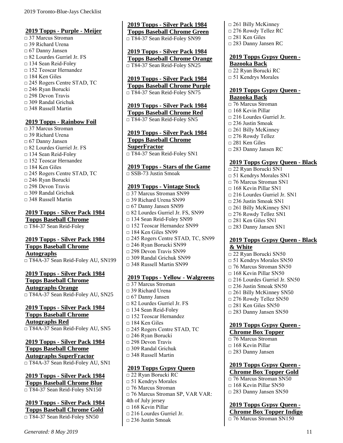#### <span id="page-18-0"></span>**2019 Topps - Purple - Meijer**

□ 37 Marcus Stroman □ 39 Richard Urena □ 67 Danny Jansen □ 82 Lourdes Gurriel Jr. FS □ 134 Sean Reid-Foley □ 152 Teoscar Hernandez □ 184 Ken Giles □ 245 Rogers Centre STAD, TC □ 246 Ryan Borucki □ 298 Devon Travis □ 309 Randal Grichuk □ 348 Russell Martin

#### <span id="page-18-1"></span>**2019 Topps - Rainbow Foil**

□ 37 Marcus Stroman  $\Box$  39 Richard Urena □ 67 Danny Jansen □ 82 Lourdes Gurriel Jr. FS □ 134 Sean Reid-Foley □ 152 Teoscar Hernandez □ 184 Ken Giles □ 245 Rogers Centre STAD, TC □ 246 Ryan Borucki  $\Box$  298 Devon Travis □ 309 Randal Grichuk  $\Box$  348 Russell Martin

# <span id="page-18-2"></span>**2019 Topps - Silver Pack 1984**

**Topps Baseball Chrome** □ T84-37 Sean Reid-Foley

# <span id="page-18-3"></span>**2019 Topps - Silver Pack 1984 Topps Baseball Chrome Autographs**

□ T84A-37 Sean Reid-Foley AU, SN199

#### <span id="page-18-4"></span>**2019 Topps - Silver Pack 1984 Topps Baseball Chrome Autographs Orange**

□ T84A-37 Sean Reid-Foley AU, SN25

#### <span id="page-18-5"></span>**2019 Topps - Silver Pack 1984 Topps Baseball Chrome Autographs Red** □ T84A-37 Sean Reid-Foley AU, SN5

#### <span id="page-18-6"></span>**2019 Topps - Silver Pack 1984 Topps Baseball Chrome Autographs SuperFractor** □ T84A-37 Sean Reid-Foley AU, SN1

<span id="page-18-7"></span>**2019 Topps - Silver Pack 1984 Topps Baseball Chrome Blue** □ T84-37 Sean Reid-Foley SN150

## <span id="page-18-8"></span>**2019 Topps - Silver Pack 1984 Topps Baseball Chrome Gold** □ T84-37 Sean Reid-Foley SN50

<span id="page-18-9"></span>**2019 Topps - Silver Pack 1984 Topps Baseball Chrome Green** □ T84-37 Sean Reid-Foley SN99

<span id="page-18-10"></span>**2019 Topps - Silver Pack 1984 Topps Baseball Chrome Orange** □ T84-37 Sean Reid-Foley SN25

#### <span id="page-18-11"></span>**2019 Topps - Silver Pack 1984 Topps Baseball Chrome Purple** □ T84-37 Sean Reid-Foley SN75

<span id="page-18-12"></span>**2019 Topps - Silver Pack 1984 Topps Baseball Chrome Red** □ T84-37 Sean Reid-Foley SN5

#### <span id="page-18-13"></span>**2019 Topps - Silver Pack 1984 Topps Baseball Chrome SuperFractor** □ T84-37 Sean Reid-Foley SN1

<span id="page-18-14"></span>**2019 Topps - Stars of the Game**

 $\Box$  SSB-73 Justin Smoak

# <span id="page-18-15"></span>**2019 Topps - Vintage Stock**

□ 37 Marcus Stroman SN99 □ 39 Richard Urena SN99 □ 67 Danny Jansen SN99 □ 82 Lourdes Gurriel Jr. FS, SN99 □ 134 Sean Reid-Foley SN99 □ 152 Teoscar Hernandez SN99  $\Box$  184 Ken Giles SN99 □ 245 Rogers Centre STAD, TC, SN99 □ 246 Ryan Borucki SN99 □ 298 Devon Travis SN99 □ 309 Randal Grichuk SN99 □ 348 Russell Martin SN99

#### <span id="page-18-16"></span>**2019 Topps - Yellow - Walgreens**

□ 37 Marcus Stroman □ 39 Richard Urena □ 67 Danny Jansen □ 82 Lourdes Gurriel Jr. FS □ 134 Sean Reid-Foley □ 152 Teoscar Hernandez □ 184 Ken Giles □ 245 Rogers Centre STAD, TC □ 246 Ryan Borucki □ 298 Devon Travis □ 309 Randal Grichuk  $\Box$  348 Russell Martin

#### <span id="page-18-17"></span>**2019 Topps Gypsy Queen**

□ 22 Ryan Borucki RC □ 51 Kendrys Morales □ 76 Marcus Stroman □ 76 Marcus Stroman SP, VAR VAR: 4th of July jersey □ 168 Kevin Pillar □ 216 Lourdes Gurriel Jr.  $\Box$  236 Justin Smoak

- □ 261 Billy McKinney
- □ 276 Rowdy Tellez RC
- □ 281 Ken Giles
- □ 283 Danny Jansen RC

#### <span id="page-18-18"></span>**2019 Topps Gypsy Queen - Bazooka Back**

□ 22 Ryan Borucki RC □ 51 Kendrys Morales

#### <span id="page-18-19"></span>**2019 Topps Gypsy Queen - Bazooka Back**

□ 76 Marcus Stroman □ 168 Kevin Pillar □ 216 Lourdes Gurriel Jr.  $\Box$  236 Justin Smoak □ 261 Billy McKinney □ 276 Rowdy Tellez □ 281 Ken Giles □ 283 Danny Jansen RC

# <span id="page-18-20"></span>**2019 Topps Gypsy Queen - Black**

□ 22 Ryan Borucki SN1 □ 51 Kendrys Morales SN1 □ 76 Marcus Stroman SN1  $\Box$  168 Kevin Pillar SN1 □ 216 Lourdes Gurriel Jr. SN1 □ 236 Justin Smoak SN1 □ 261 Billy McKinney SN1 □ 276 Rowdy Tellez SN1  $\Box$  281 Ken Giles SN1 □ 283 Danny Jansen SN1

### <span id="page-18-21"></span>**2019 Topps Gypsy Queen - Black & White**

□ 22 Ryan Borucki SN50 □ 51 Kendrys Morales SN50 □ 76 Marcus Stroman SN50  $\Box$  168 Kevin Pillar SN50  $\Box$  216 Lourdes Gurriel Jr. SN50 □ 236 Justin Smoak SN50 □ 261 Billy McKinney SN50 □ 276 Rowdy Tellez SN50 □ 281 Ken Giles SN50 □ 283 Danny Jansen SN50

# <span id="page-18-22"></span>**2019 Topps Gypsy Queen -**

#### **Chrome Box Topper**

 $\Box$  76 Marcus Stroman  $\Box$  168 Kevin Pillar □ 283 Danny Jansen

### <span id="page-18-23"></span>**2019 Topps Gypsy Queen - Chrome Box Topper Gold**

- $\overline{0.76}$  Marcus Stroman SN50 □ 168 Kevin Pillar SN50
- □ 283 Danny Jansen SN50

#### <span id="page-18-24"></span>**2019 Topps Gypsy Queen - Chrome Box Topper Indigo** □ 76 Marcus Stroman SN150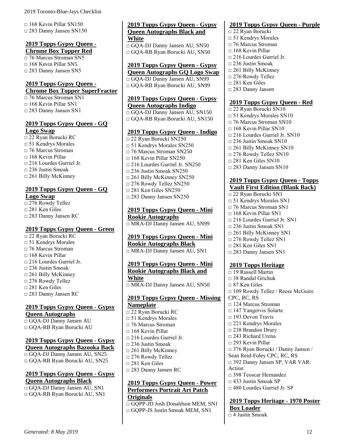$\Box$  168 Kevin Pillar SN150 □ 283 Danny Jansen SN150

#### <span id="page-19-0"></span>**2019 Topps Gypsy Queen - Chrome Box Topper Red**

□ 76 Marcus Stroman SN5  $\Box$  168 Kevin Pillar SN5 □ 283 Danny Jansen SN5

# <span id="page-19-1"></span>**2019 Topps Gypsy Queen -**

**Chrome Box Topper SuperFractor**

□ 76 Marcus Stroman SN1 □ 168 Kevin Pillar SN1 □ 283 Danny Jansen SN1

# <span id="page-19-2"></span>**2019 Topps Gypsy Queen - GQ Logo Swap**

□ 22 Ryan Borucki RC □ 51 Kendrys Morales □ 76 Marcus Stroman □ 168 Kevin Pillar □ 216 Lourdes Gurriel Jr. □ 236 Justin Smoak □ 261 Billy McKinney

# <span id="page-19-3"></span>**2019 Topps Gypsy Queen - GQ Logo Swap**

□ 276 Rowdy Tellez □ 281 Ken Giles □ 283 Danny Jansen RC

#### <span id="page-19-4"></span>**2019 Topps Gypsy Queen - Green**

□ 22 Ryan Borucki RC □ 51 Kendrys Morales □ 76 Marcus Stroman □ 168 Kevin Pillar □ 216 Lourdes Gurriel Jr. □ 236 Justin Smoak  $\Box$  261 Billy McKinney  $\Box$  276 Rowdy Tellez □ 281 Ken Giles □ 283 Danny Jansen RC

#### <span id="page-19-5"></span>**2019 Topps Gypsy Queen - Gypsy Queen Autographs**

□ GQA-DJ Danny Jansen AU □ GQA-RB Ryan Borucki AU

# <span id="page-19-6"></span>**2019 Topps Gypsy Queen - Gypsy Queen Autographs Bazooka Back**

□ GQA-DJ Danny Jansen AU, SN25 □ GOA-RB Ryan Borucki AU, SN25

### <span id="page-19-7"></span>**2019 Topps Gypsy Queen - Gypsy Queen Autographs Black**

□ GQA-DJ Danny Jansen AU, SN1 □ GQA-RB Ryan Borucki AU, SN1

#### <span id="page-19-8"></span>**2019 Topps Gypsy Queen - Gypsy Queen Autographs Black and White**

□ GQA-DJ Danny Jansen AU, SN50 □ GQA-RB Ryan Borucki AU, SN50

# <span id="page-19-9"></span>**2019 Topps Gypsy Queen - Gypsy**

**Queen Autographs GQ Logo Swap** □ GQA-DJ Danny Jansen AU, SN99 □ GQA-RB Ryan Borucki AU, SN99

#### <span id="page-19-10"></span>**2019 Topps Gypsy Queen - Gypsy Queen Autographs Indigo**

□ GQA-DJ Danny Jansen AU, SN150 □ GQA-RB Ryan Borucki AU, SN150

#### <span id="page-19-11"></span>**2019 Topps Gypsy Queen - Indigo**

□ 22 Ryan Borucki SN250 □ 51 Kendrys Morales SN250 □ 76 Marcus Stroman SN250  $\Box$  168 Kevin Pillar SN250 □ 216 Lourdes Gurriel Jr. SN250  $\Box$  236 Justin Smoak SN250 □ 261 Billy McKinney SN250 □ 276 Rowdy Tellez SN250  $\Box$  281 Ken Giles SN250 □ 283 Danny Jansen SN250

<span id="page-19-12"></span>**2019 Topps Gypsy Queen - Mini Rookie Autographs** □ MRA-DJ Danny Jansen AU, SN99

<span id="page-19-13"></span>**2019 Topps Gypsy Queen - Mini Rookie Autographs Black**

□ MRA-DJ Danny Jansen AU, SN1

# <span id="page-19-14"></span>**2019 Topps Gypsy Queen - Mini Rookie Autographs Black and White**

□ MRA-DJ Danny Jansen AU, SN50

#### <span id="page-19-15"></span>**2019 Topps Gypsy Queen - Missing Nameplate**

□ 22 Ryan Borucki RC □ 51 Kendrys Morales □ 76 Marcus Stroman  $\Box$  168 Kevin Pillar □ 216 Lourdes Gurriel Jr. □ 236 Justin Smoak □ 261 Billy McKinney □ 276 Rowdy Tellez □ 281 Ken Giles □ 283 Danny Jansen RC

## <span id="page-19-16"></span>**2019 Topps Gypsy Queen - Power Performers Portrait Art Patch Originals**

□ GQPP-JD Josh Donaldson MEM, SN1 □ GOPP-JS Justin Smoak MEM, SN1

# <span id="page-19-17"></span>**2019 Topps Gypsy Queen - Purple**

□ 22 Ryan Borucki □ 51 Kendrys Morales □ 76 Marcus Stroman  $\Box$  168 Kevin Pillar □ 216 Lourdes Gurriel Jr.  $\square$  236 Justin Smoak □ 261 Billy McKinney □ 276 Rowdy Tellez □ 281 Ken Giles □ 283 Danny Jansen

#### <span id="page-19-18"></span>**2019 Topps Gypsy Queen - Red**

□ 22 Ryan Borucki SN10 □ 51 Kendrys Morales SN10 □ 76 Marcus Stroman SN10  $\Box$  168 Kevin Pillar SN10  $\Box$  216 Lourdes Gurriel Jr. SN10 □ 236 Justin Smoak SN10  $\Box$  261 Billy McKinney SN10 □ 276 Rowdy Tellez SN10 □ 281 Ken Giles SN10 □ 283 Danny Jansen SN10

# <span id="page-19-19"></span>**2019 Topps Gypsy Queen - Topps Vault First Edition (Blank Back)**

□ 22 Ryan Borucki SN1 □ 51 Kendrys Morales SN1 □ 76 Marcus Stroman SN1  $\Box$  168 Kevin Pillar SN1 □ 216 Lourdes Gurriel Jr. SN1  $\Box$  236 Justin Smoak SN1 □ 261 Billy McKinney SN1 □ 276 Rowdy Tellez SN1 □ 281 Ken Giles SN1 □ 283 Danny Jansen SN1

# <span id="page-19-20"></span>**2019 Topps Heritage**

 $\Box$  19 Russell Martin □ 38 Randal Grichuk  $\Box$  87 Ken Giles □ 109 Rowdy Tellez / Reese McGuire CPC, RC, RS □ 124 Marcus Stroman □ 147 Yangervis Solarte □ 193 Devon Travis □ 221 Kendrys Morales □ 238 Brandon Drury □ 243 Richard Urena  $\Box$  293 Kevin Pillar □ 376 Ryan Borucki / Danny Jansen / Sean Reid-Foley CPC, RC, RS □ 392 Danny Jansen SP, VAR VAR: Action □ 398 Teoscar Hernandez  $\Box$  433 Justin Smoak SP □ 480 Lourdes Gurriel Jr. SP

# <span id="page-19-21"></span>**2019 Topps Heritage - 1970 Poster Box Loader**

□ 4 Justin Smoak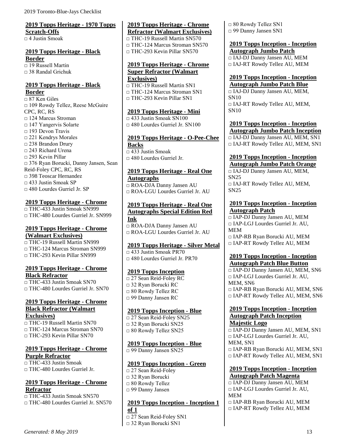# <span id="page-20-0"></span>**2019 Topps Heritage - 1970 Topps Scratch-Offs**

 $\Box$  4 Justin Smoak

# <span id="page-20-1"></span>**2019 Topps Heritage - Black Border**

□ 19 Russell Martin  $\Box$  38 Randal Grichuk

#### <span id="page-20-2"></span>**2019 Topps Heritage - Black Border**

□ 87 Ken Giles □ 109 Rowdy Tellez, Reese McGuire CPC, RC, RS □ 124 Marcus Stroman □ 147 Yangervis Solarte  $\Box$  193 Devon Travis □ 221 Kendrys Morales □ 238 Brandon Drury □ 243 Richard Urena □ 293 Kevin Pillar □ 376 Ryan Borucki, Danny Jansen, Sean Reid-Foley CPC, RC, RS □ 398 Teoscar Hernandez □ 433 Justin Smoak SP □ 480 Lourdes Gurriel Jr. SP

#### <span id="page-20-3"></span>**2019 Topps Heritage - Chrome**

□ THC-433 Justin Smoak SN999 □ THC-480 Lourdes Gurriel Jr. SN999

#### <span id="page-20-4"></span>**2019 Topps Heritage - Chrome (Walmart Exclusives)**

□ THC-19 Russell Martin SN999 □ THC-124 Marcus Stroman SN999 □ THC-293 Kevin Pillar SN999

#### <span id="page-20-5"></span>**2019 Topps Heritage - Chrome Black Refractor**

□ THC-433 Justin Smoak SN70 □ THC-480 Lourdes Gurriel Jr. SN70

#### <span id="page-20-6"></span>**2019 Topps Heritage - Chrome Black Refractor (Walmart Exclusives)**

□ THC-19 Russell Martin SN70 □ THC-124 Marcus Stroman SN70  $\neg$  THC-293 Kevin Pillar SN70

### <span id="page-20-7"></span>**2019 Topps Heritage - Chrome Purple Refractor**

□ THC-433 Justin Smoak  $\Box$  THC-480 Lourdes Gurriel Jr.

### <span id="page-20-8"></span>**2019 Topps Heritage - Chrome Refractor**

□ THC-433 Justin Smoak SN570 □ THC-480 Lourdes Gurriel Jr. SN570

#### <span id="page-20-9"></span>**2019 Topps Heritage - Chrome Refractor (Walmart Exclusives)**

□ THC-19 Russell Martin SN570  $\neg$  THC-124 Marcus Stroman SN570 □ THC-293 Kevin Pillar SN570

#### <span id="page-20-10"></span>**2019 Topps Heritage - Chrome Super Refractor (Walmart Exclusives)**

□ THC-19 Russell Martin SN1 □ THC-124 Marcus Stroman SN1 □ THC-293 Kevin Pillar SN1

# <span id="page-20-11"></span>**2019 Topps Heritage - Mini**

 $\Box$  433 Justin Smoak SN100  $\Box$  480 Lourdes Gurriel Jr. SN100

### <span id="page-20-12"></span>**2019 Topps Heritage - O-Pee-Chee Backs**

 $\overline{\Box$  433 Justin Smoak  $\Box$  480 Lourdes Gurriel Jr.

### <span id="page-20-13"></span>**2019 Topps Heritage - Real One Autographs**

□ ROA-DJA Danny Jansen AU □ ROA-LGU Lourdes Gurriel Jr. AU

#### <span id="page-20-14"></span>**2019 Topps Heritage - Real One Autographs Special Edition Red Ink**

□ ROA-DJA Danny Jansen AU □ ROA-LGU Lourdes Gurriel Jr. AU

# <span id="page-20-15"></span>**2019 Topps Heritage - Silver Metal**

 $\Box$  433 Justin Smoak PR70 □ 480 Lourdes Gurriel Jr. PR70

# <span id="page-20-16"></span>**2019 Topps Inception**

□ 27 Sean Reid-Foley RC □ 32 Ryan Borucki RC □ 80 Rowdy Tellez RC □ 99 Danny Jansen RC

# <span id="page-20-17"></span>**2019 Topps Inception - Blue**

□ 27 Sean Reid-Foley SN25 □ 32 Ryan Borucki SN25 □ 80 Rowdy Tellez SN25

# <span id="page-20-18"></span>**2019 Topps Inception - Blue**

□ 99 Danny Jansen SN25

#### <span id="page-20-19"></span>**2019 Topps Inception - Green**

□ 27 Sean Reid-Foley □ 32 Ryan Borucki □ 80 Rowdy Tellez □ 99 Danny Jansen

#### <span id="page-20-20"></span>**2019 Topps Inception - Inception 1 of 1**

□ 27 Sean Reid-Foley SN1

□ 32 Ryan Borucki SN1

□ 80 Rowdy Tellez SN1 □ 99 Danny Jansen SN1

#### <span id="page-20-21"></span>**2019 Topps Inception - Inception Autograph Jumbo Patch** □ IAJ-DJ Danny Jansen AU, MEM

□ IAJ-RT Rowdy Tellez AU, MEM

#### <span id="page-20-22"></span>**2019 Topps Inception - Inception Autograph Jumbo Patch Blue**

□ IAJ-DJ Danny Jansen AU, MEM, SN10 □ IAJ-RT Rowdy Tellez AU, MEM, SN10

# <span id="page-20-23"></span>**2019 Topps Inception - Inception Autograph Jumbo Patch Inception** □ IAJ-DJ Danny Jansen AU, MEM, SN1

□ IAJ-RT Rowdy Tellez AU, MEM, SN1

#### <span id="page-20-24"></span>**2019 Topps Inception - Inception Autograph Jumbo Patch Orange**

□ IAJ-DJ Danny Jansen AU, MEM, SN25 □ IAJ-RT Rowdy Tellez AU, MEM, SN25

#### <span id="page-20-25"></span>**2019 Topps Inception - Inception Autograph Patch**

□ IAP-DJ Danny Jansen AU, MEM □ IAP-LGJ Lourdes Gurriel Jr. AU, MEM □ IAP-RB Ryan Borucki AU, MEM □ IAP-RT Rowdy Tellez AU, MEM

# **2019 Topps Inception - Inception**

<span id="page-20-26"></span>**Autograph Patch Blue Button** □ IAP-DJ Danny Jansen AU, MEM, SN6  $\Box$  IAP-LGJ Lourdes Gurriel Jr. AU, MEM, SN6

□ IAP-RB Ryan Borucki AU, MEM, SN6 □ IAP-RT Rowdy Tellez AU, MEM, SN6

#### <span id="page-20-27"></span>**2019 Topps Inception - Inception Autograph Patch Inception Majestic Logo**

□ IAP-DJ Danny Jansen AU, MEM, SN1 □ IAP-LGJ Lourdes Gurriel Jr. AU, MEM, SN1 □ IAP-RB Ryan Borucki AU, MEM, SN1 □ IAP-RT Rowdy Tellez AU, MEM, SN1

#### <span id="page-20-28"></span>**2019 Topps Inception - Inception Autograph Patch Magenta**

□ IAP-DJ Danny Jansen AU, MEM □ IAP-LGJ Lourdes Gurriel Jr. AU, MEM □ IAP-RB Ryan Borucki AU, MEM □ IAP-RT Rowdy Tellez AU, MEM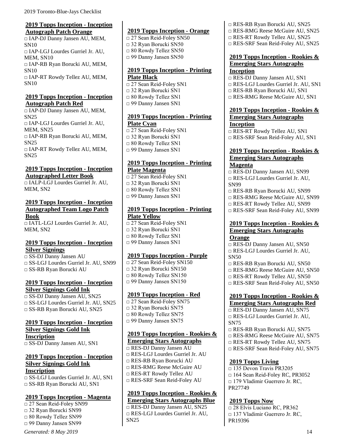#### <span id="page-21-0"></span>**2019 Topps Inception - Inception Autograph Patch Orange**

□ IAP-DJ Danny Jansen AU, MEM, SN10 □ IAP-LGJ Lourdes Gurriel Jr. AU, MEM, SN10 □ IAP-RB Ryan Borucki AU, MEM, SN10 □ IAP-RT Rowdy Tellez AU, MEM, SN10

# <span id="page-21-1"></span>**2019 Topps Inception - Inception Autograph Patch Red**

□ IAP-DJ Danny Jansen AU, MEM, SN25 □ IAP-LGJ Lourdes Gurriel Jr. AU, MEM, SN25 □ IAP-RB Ryan Borucki AU, MEM, SN25 □ IAP-RT Rowdy Tellez AU, MEM, SN25

### <span id="page-21-2"></span>**2019 Topps Inception - Inception Autographed Letter Book**

□ IALP-LGJ Lourdes Gurriel Jr. AU, MEM, SN2

#### <span id="page-21-3"></span>**2019 Topps Inception - Inception Autographed Team Logo Patch Book**

□ IATL-LGJ Lourdes Gurriel Jr. AU, MEM, SN2

### <span id="page-21-4"></span>**2019 Topps Inception - Inception Silver Signings**

□ SS-DJ Danny Jansen AU □ SS-LGJ Lourdes Gurriel Jr. AU, SN99 □ SS-RB Ryan Borucki AU

# <span id="page-21-5"></span>**2019 Topps Inception - Inception Silver Signings Gold Ink**

□ SS-DJ Danny Jansen AU, SN25  $\Box$  SS-LGJ Lourdes Gurriel Jr. AU, SN25 □ SS-RB Ryan Borucki AU, SN25

#### <span id="page-21-6"></span>**2019 Topps Inception - Inception Silver Signings Gold Ink Inscription**

□ SS-DJ Danny Jansen AU, SN1

#### <span id="page-21-7"></span>**2019 Topps Inception - Inception Silver Signings Gold Ink Inscription**

□ SS-LGJ Lourdes Gurriel Jr. AU, SN1 □ SS-RB Ryan Borucki AU, SN1

# <span id="page-21-8"></span>**2019 Topps Inception - Magenta**

□ 27 Sean Reid-Foley SN99 □ 32 Ryan Borucki SN99 □ 80 Rowdy Tellez SN99 □ 99 Danny Jansen SN99

#### *Generated: 8 May 2019* 14

## <span id="page-21-9"></span>**2019 Topps Inception - Orange**

□ 27 Sean Reid-Foley SN50 □ 32 Ryan Borucki SN50 □ 80 Rowdy Tellez SN50 □ 99 Danny Jansen SN50

#### <span id="page-21-10"></span>**2019 Topps Inception - Printing Plate Black**

□ 27 Sean Reid-Foley SN1 □ 32 Ryan Borucki SN1 □ 80 Rowdy Tellez SN1 □ 99 Danny Jansen SN1

### <span id="page-21-11"></span>**2019 Topps Inception - Printing Plate Cyan**

□ 27 Sean Reid-Foley SN1 □ 32 Ryan Borucki SN1 □ 80 Rowdy Tellez SN1 □ 99 Danny Jansen SN1

### <span id="page-21-12"></span>**2019 Topps Inception - Printing Plate Magenta**

□ 27 Sean Reid-Foley SN1 □ 32 Ryan Borucki SN1 □ 80 Rowdy Tellez SN1 □ 99 Danny Jansen SN1

## <span id="page-21-13"></span>**2019 Topps Inception - Printing Plate Yellow**

□ 27 Sean Reid-Foley SN1 □ 32 Ryan Borucki SN1 □ 80 Rowdy Tellez SN1 □ 99 Danny Jansen SN1

# <span id="page-21-14"></span>**2019 Topps Inception - Purple**

□ 27 Sean Reid-Foley SN150 □ 32 Ryan Borucki SN150 □ 80 Rowdy Tellez SN150 □ 99 Danny Jansen SN150

# <span id="page-21-15"></span>**2019 Topps Inception - Red**

□ 27 Sean Reid-Foley SN75 □ 32 Ryan Borucki SN75 □ 80 Rowdy Tellez SN75 □ 99 Danny Jansen SN75

# <span id="page-21-16"></span>**2019 Topps Inception - Rookies & Emerging Stars Autographs**

- □ RES-DJ Danny Jansen AU
- □ RES-LGJ Lourdes Gurriel Jr. AU
- □ RES-RB Ryan Borucki AU
- □ RES-RMG Reese McGuire AU
- □ RES-RT Rowdy Tellez AU
- □ RES-SRF Sean Reid-Foley AU

## <span id="page-21-17"></span>**2019 Topps Inception - Rookies & Emerging Stars Autographs Blue**

□ RES-DJ Danny Jansen AU, SN25 □ RES-LGJ Lourdes Gurriel Jr. AU, SN25

#### □ RES-RB Ryan Borucki AU, SN25

- □ RES-RMG Reese McGuire AU, SN25
- □ RES-RT Rowdy Tellez AU, SN25
- □ RES-SRF Sean Reid-Foley AU, SN25

#### <span id="page-21-18"></span>**2019 Topps Inception - Rookies & Emerging Stars Autographs Inception**

- □ RES-DJ Danny Jansen AU, SN1
- □ RES-LGJ Lourdes Gurriel Jr. AU, SN1
- □ RES-RB Ryan Borucki AU, SN1
- □ RES-RMG Reese McGuire AU, SN1

#### <span id="page-21-19"></span>**2019 Topps Inception - Rookies & Emerging Stars Autographs Inception**

□ RES-RT Rowdy Tellez AU, SN1 □ RES-SRF Sean Reid-Foley AU, SN1

#### <span id="page-21-20"></span>**2019 Topps Inception - Rookies & Emerging Stars Autographs Magenta**

□ RES-DJ Danny Jansen AU, SN99 □ RES-LGJ Lourdes Gurriel Jr. AU, SN99

- □ RES-RB Ryan Borucki AU, SN99 □ RES-RMG Reese McGuire AU, SN99
- □ RES-RT Rowdy Tellez AU, SN99
- □ RES-SRF Sean Reid-Foley AU, SN99

## <span id="page-21-21"></span>**2019 Topps Inception - Rookies & Emerging Stars Autographs Orange**

- □ RES-DJ Danny Jansen AU, SN50 □ RES-LGJ Lourdes Gurriel Jr. AU, SN50
- □ RES-RB Ryan Borucki AU, SN50
- □ RES-RMG Reese McGuire AU, SN50
- □ RES-RT Rowdy Tellez AU, SN50
- □ RES-SRF Sean Reid-Foley AU, SN50

# <span id="page-21-22"></span>**2019 Topps Inception - Rookies &**

- **Emerging Stars Autographs Red** □ RES-DJ Danny Jansen AU, SN75 □ RES-LGJ Lourdes Gurriel Jr. AU, SN75
- □ RES-RB Ryan Borucki AU, SN75
- □ RES-RMG Reese McGuire AU, SN75
- □ RES-RT Rowdy Tellez AU, SN75
- □ RES-SRF Sean Reid-Foley AU, SN75

#### <span id="page-21-23"></span>**2019 Topps Living**

□ 135 Devon Travis PR3205  $\Box$  164 Sean Reid-Foley RC, PR3052 □ 179 Vladimir Guerrero Jr. RC, PR27749

# <span id="page-21-24"></span>**2019 Topps Now**

□ 28 Elvis Luciano RC, PR362 □ 137 Vladimir Guerrero Jr. RC, PR19396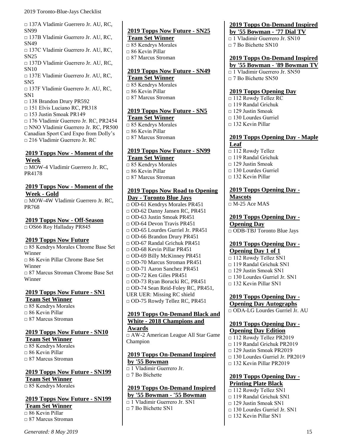□ 137A Vladimir Guerrero Jr. AU, RC, SN99

□ 137B Vladimir Guerrero Jr. AU, RC, SN49

□ 137C Vladimir Guerrero Jr. AU, RC, SN25

□ 137D Vladimir Guerrero Jr. AU, RC, SN10

□ 137E Vladimir Guerrero Jr. AU, RC, SN5

□ 137F Vladimir Guerrero Jr. AU, RC, SN1

□ 138 Brandon Drury PR592

□ 151 Elvis Luciano RC, PR318

 $\Box$  153 Justin Smoak PR149 □ 176 Vladimir Guerrero Jr. RC, PR2454 □ NNO Vladimir Guerrero Jr. RC, PR500 Canadian Sport Card Expo from Dolly's □ 216 Vladimir Guerrero Jr. RC

#### <span id="page-22-0"></span>**2019 Topps Now - Moment of the Week**

□ MOW-4 Vladimir Guerrero Jr. RC, PR4178

# <span id="page-22-1"></span>**2019 Topps Now - Moment of the Week - Gold**

□ MOW-4W Vladimir Guerrero Jr. RC, PR768

<span id="page-22-2"></span>**2019 Topps Now - Off-Season** □ OS66 Roy Halladay PR845

# <span id="page-22-3"></span>**2019 Topps Now Future**

□ 85 Kendrys Morales Chrome Base Set Winner  $\Box$  86 Kevin Pillar Chrome Base Set Winner □ 87 Marcus Stroman Chrome Base Set Winner

#### <span id="page-22-4"></span>**2019 Topps Now Future - SN1 Team Set Winner**

□ 85 Kendrys Morales □ 86 Kevin Pillar  $\Box$  87 Marcus Stroman

# <span id="page-22-5"></span>**2019 Topps Now Future - SN10**

**Team Set Winner**  $\overline{0.85}$  Kendrys Morales □ 86 Kevin Pillar □ 87 Marcus Stroman

#### <span id="page-22-6"></span>**2019 Topps Now Future - SN199 Team Set Winner**

□ 85 Kendrys Morales

# <span id="page-22-7"></span>**2019 Topps Now Future - SN199**

**Team Set Winner**  $\overline{\square}$  86 Kevin Pillar □ 87 Marcus Stroman

<span id="page-22-8"></span>**2019 Topps Now Future - SN25 Team Set Winner** □ 85 Kendrys Morales □ 86 Kevin Pillar □ 87 Marcus Stroman

# <span id="page-22-9"></span>**2019 Topps Now Future - SN49**

**Team Set Winner** □ 85 Kendrys Morales □ 86 Kevin Pillar □ 87 Marcus Stroman

# <span id="page-22-10"></span>**2019 Topps Now Future - SN5**

**Team Set Winner**  $\Box$  85 Kendrys Morales □ 86 Kevin Pillar □ 87 Marcus Stroman

# <span id="page-22-11"></span>**2019 Topps Now Future - SN99 Team Set Winner**

□ 85 Kendrys Morales □ 86 Kevin Pillar □ 87 Marcus Stroman

## <span id="page-22-12"></span>**2019 Topps Now Road to Opening Day - Toronto Blue Jays**

□ OD-61 Kendrys Morales PR451 □ OD-62 Danny Jansen RC, PR451  $\Box$  OD-63 Justin Smoak PR451 □ OD-64 Devon Travis PR451 □ OD-65 Lourdes Gurriel Jr. PR451 □ OD-66 Brandon Drury PR451 □ OD-67 Randal Grichuk PR451 □ OD-68 Kevin Pillar PR451 □ OD-69 Billy McKinney PR451 □ OD-70 Marcus Stroman PR451 □ OD-71 Aaron Sanchez PR451  $\Box$  OD-72 Ken Giles PR451 □ OD-73 Ryan Borucki RC, PR451 □ OD-74 Sean Reid-Foley RC, PR451, UER UER: Missing RC shield □ OD-75 Rowdy Tellez RC, PR451

#### <span id="page-22-13"></span>**2019 Topps On-Demand Black and White - 2018 Champions and Awards**

□ AW-2 American League All Star Game Champion

#### <span id="page-22-14"></span>**2019 Topps On-Demand Inspired by '55 Bowman**

□ 1 Vladimir Guerrero Jr. □ 7 Bo Bichette

#### <span id="page-22-15"></span>**2019 Topps On-Demand Inspired by '55 Bowman - '55 Bowman** □ 1 Vladimir Guerrero Jr. SN1

□ 7 Bo Bichette SN1

# <span id="page-22-16"></span>**2019 Topps On-Demand Inspired**

**by '55 Bowman - '77 Dial TV**

□ 1 Vladimir Guerrero Jr. SN10

 $\Box$  7 Bo Bichette SN10

# <span id="page-22-17"></span>**2019 Topps On-Demand Inspired**

- **by '55 Bowman - '89 Bowman TV** □ 1 Vladimir Guerrero Jr. SN50
- □ 7 Bo Bichette SN50

### <span id="page-22-18"></span>**2019 Topps Opening Day**

- □ 112 Rowdy Tellez RC □ 119 Randal Grichuk  $\Box$  129 Justin Smoak □ 130 Lourdes Gurriel
- $\Box$  132 Kevin Pillar

# <span id="page-22-19"></span>**2019 Topps Opening Day - Maple Leaf**

- □ 112 Rowdy Tellez
- □ 119 Randal Grichuk
- $\Box$  129 Justin Smoak
- $\Box$  130 Lourdes Gurriel
- □ 132 Kevin Pillar

#### <span id="page-22-20"></span>**2019 Topps Opening Day - Mascots**  $\overline{\square M}$ -25 Ace MAS

<span id="page-22-21"></span>**2019 Topps Opening Day - Opening Day** □ ODB-TBJ Toronto Blue Jays

### <span id="page-22-22"></span>**2019 Topps Opening Day - Opening Day 1 of 1**

 $\Box$  112 Rowdy Tellez SN1  $\Box$  119 Randal Grichuk SN1  $\Box$  129 Justin Smoak SN1  $\Box$  130 Lourdes Gurriel Jr. SN1

 $\Box$  132 Kevin Pillar SN1

<span id="page-22-23"></span>**2019 Topps Opening Day - Opening Day Autographs**

□ ODA-LG Lourdes Gurriel Jr. AU

#### <span id="page-22-24"></span>**2019 Topps Opening Day - Opening Day Edition**

- $\overline{0112}$  Rowdy Tellez PR2019
- □ 119 Randal Grichuk PR2019
- $\Box$  129 Justin Smoak PR2019
- □ 130 Lourdes Gurriel Jr. PR2019
- □ 132 Kevin Pillar PR2019

#### <span id="page-22-25"></span>**2019 Topps Opening Day - Printing Plate Black**

- □ 112 Rowdy Tellez SN1  $\Box$  119 Randal Grichuk SN1  $\Box$  129 Justin Smoak SN1  $\Box$  130 Lourdes Gurriel Jr. SN1
- □ 132 Kevin Pillar SN1